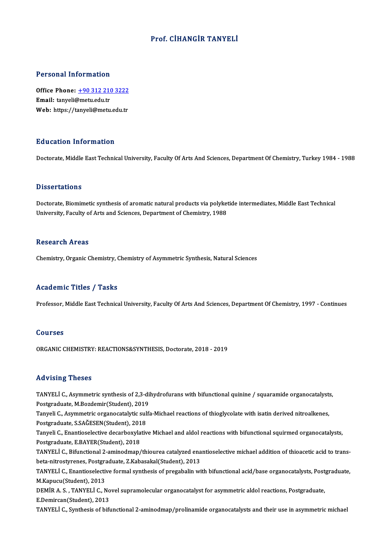### Prof. CİHANGİR TANYELİ

### Personal Information

Personal Information<br>Office Phone: <u>+90 312 210 3222</u><br>Email: tanveli@matu.edu.tr 1 ST SUBSTRAT THEST MELLOT<br>Office Phone: <u>+90 312 210</u><br>Email: tanyeli@metu.edu.tr Office Phone: <u>+90 312 210 3222</u><br>Email: t[anyeli@metu.edu.tr](tel:+90 312 210 3222)<br>Web: https://tanyeli@metu.edu.tr Web: https://tanyeli@metu.edu.tr<br>Education Information

Doctorate, Middle East Technical University, Faculty Of Arts And Sciences, Department Of Chemistry, Turkey 1984 - 1988

### **Dissertations**

Dissertations<br>Doctorate, Biomimetic synthesis of aromatic natural products via polyketide intermediates, Middle East Technical<br>University, Fasulty of Arts and Sciences, Department of Chemistyy, 1999 Disser catrons<br>Doctorate, Biomimetic synthesis of aromatic natural products via polyket<br>University, Faculty of Arts and Sciences, Department of Chemistry, 1988 University, Faculty of Arts and Sciences, Department of Chemistry, 1988<br>Research Areas

Chemistry, Organic Chemistry, Chemistry of Asymmetric Synthesis, Natural Sciences

### Academic Titles / Tasks

Professor, Middle East Technical University, Faculty Of Arts And Sciences, Department Of Chemistry, 1997 - Continues

### Courses

ORGANIC CHEMISTRY: REACTIONS&SYNTHESIS, Doctorate, 2018 - 2019

### Advising Theses

Advising Theses<br>TANYELİ C., Asymmetric synthesis of 2,3-dihydrofurans with bifunctional quinine / squaramide organocatalysts,<br>Postsraduate M Regdemir(Student), 2019 raa vienig 1110000<br>TANYELİ C., Asymmetric synthesis of 2,3-di<br>Postgraduate, M.Bozdemir(Student), 2019<br>Tanyeli C., Asymmetric exsenecatelytic sulf TANYELİ C., Asymmetric synthesis of 2,3-dihydrofurans with bifunctional quinine / squaramide organocatalyst:<br>Postgraduate, M.Bozdemir(Student), 2019<br>Tanyeli C., Asymmetric organocatalytic sulfa-Michael reactions of thiogly Postgraduate, M.Bozdemir (Student), 2019<br>Tanyeli C., Asymmetric organocatalytic sulfa-Michael reactions of thioglycolate with isatin derived nitroalkenes,

Postgraduate, S.SAĞESEN(Student), 2018

Tanyeli C., Enantioselective decarboxylative Michael and aldol reactions with bifunctional squirmed organocatalysts,<br>Postgraduate, E.BAYER(Student), 2018 Tanyeli C., Enantioselective decarboxylative Michael and aldol reactions with bifunctional squirmed organocatalysts,<br>Postgraduate, E.BAYER(Student), 2018<br>TANYELİ C., Bifunctional 2-aminodmap/thiourea catalyzed enantioselec

Postgraduate, E.BAYER(Student), 2018<br>TANYELİ C., Bifunctional 2-aminodmap/thiourea catalyzed ena<br>beta-nitrostyrenes, Postgraduate, Z.Kabasakal(Student), 2013<br>TANYELİ G. Epantioselestive formal synthesis of prosabelin vi TANYELİ C., Bifunctional 2-aminodmap/thiourea catalyzed enantioselective michael addition of thioacetic acid to trans-<br>beta-nitrostyrenes, Postgraduate, Z.Kabasakal(Student), 2013<br>TANYELİ C., Enantioselective formal synthe

beta-nitrostyrenes, Postgraduate, Z.Kabasakal(Student), 2013<br>TANYELİ C., Enantioselective formal synthesis of pregabalin with bifunctional acid/base organocatalysts, Postgraduate,<br>M.Kapucu(Student), 2013 TANYELİ C., Enantioselective formal synthesis of pregabalin with bifunctional acid/base organocatalysts, Post<br>M.Kapucu(Student), 2013<br>DEMİR A. S. , TANYELİ C., Novel supramolecular organocatalyst for asymmetric aldol react

M.Kapucu(Student), 2013<br>DEMİR A. S. , TANYELİ C., No<br>E.Demircan(Student), 2013<br>TANYELİ G. Synthesis of bifi DEMİR A. S. , TANYELİ C., Novel supramolecular organocatalyst for asymmetric aldol reactions, Postgraduate,<br>E.Demircan(Student), 2013<br>TANYELİ C., Synthesis of bifunctional 2-aminodmap/prolinamide organocatalysts and their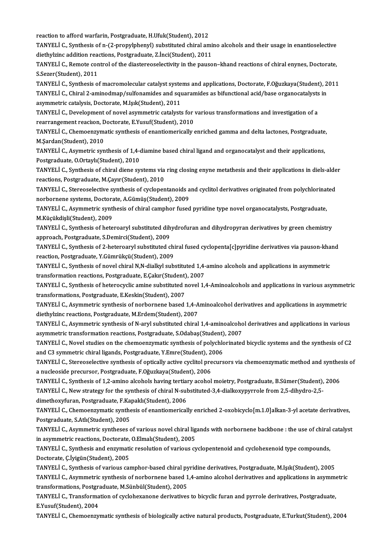reaction to afford warfarin, Postgraduate, H.Ufuk(Student), 2012

reaction to afford warfarin, Postgraduate, H.Ufuk(Student), 2012<br>TANYELİ C., Synthesis of n-(2-propylphenyl) substituted chiral amino alcohols and their usage in enantioselective<br>disthylving addition reactions, Bestareduat reaction to afford warfarin, Postgraduate, H.Ufuk(Student), 2012<br>TANYELİ C., Synthesis of n-(2-propylphenyl) substituted chiral ami<br>diethylzinc addition reactions, Postgraduate, Z.İnci(Student), 2011<br>TANYELİ G. Bemete sont TANYELİ C., Synthesis of n-(2-propylphenyl) substituted chiral amino alcohols and their usage in enantioselective<br>diethylzinc addition reactions, Postgraduate, Z.İnci(Student), 2011<br>TANYELİ C., Remote control of the diaste

diethylzinc addition reach<br>TANYELİ C., Remote con<br>S.Sezer(Student), 2011<br>TANYELİ C. Symthesis Q TANYELİ C., Remote control of the diastereoselectivity in the pauson–khand reactions of chiral enynes, Doctorate,<br>S.Sezer(Student), 2011<br>TANYELİ C., Synthesis of macromolecular catalyst systems and applications, Doctorate,

S.Sezer(Student), 2011<br>TANYELİ C., Synthesis of macromolecular catalyst systems and applications, Doctorate, F.Oğuzkaya(Student), 2<br>TANYELİ C., Chiral 2-aminodmap/sulfonamides and squaramides as bifunctional acid/base orga TANYELİ C., Synthesis of macromolecular catalyst syste<br>TANYELİ C., Chiral 2-aminodmap/sulfonamides and squ<br>asymmetric catalysis, Doctorate, M.Işık(Student), 2011<br>TANYELİ C. Dovelopment of novel asymmetris satelyst: TANYELİ C., Chiral 2-aminodmap/sulfonamides and squaramides as bifunctional acid/base organocatalysts<br>asymmetric catalysis, Doctorate, M.Işık(Student), 2011<br>TANYELİ C., Development of novel asymmetric catalysts for various

asymmetric catalysis, Doctorate, M.Işık(Student), 2011<br>TANYELİ C., Development of novel asymmetric catalysts for various transformations and investigation of a rearrangement reaciion, Doctorate, E.Yusuf(Student), 2010

TANYELİ C., Chemoenzymatic synthesis of enantiomerically enriched gamma and delta lactones, Postgraduate,<br>M.Sardan(Student), 2010

TANYELİ C., Asymetric synthesis of 1,4-diamine based chiral ligand and organocatalyst and their applications, Postgraduate, O.Ortaylı(Student), 2010 TANYELİ C., Asymetric synthesis of 1,4-diamine based chiral ligand and organocatalyst and their applications,<br>Postgraduate, O.Ortaylı(Student), 2010<br>TANYELİ C., Synthesis of chiral diene systems via ring closing enyne meta

Postgraduate, O.Ortaylı(Student), 2010<br>TANYELİ C., Synthesis of chiral diene systems via<br>reactions, Postgraduate, M.Çayır(Student), 2010<br>TANYELİ G. Starassalastiya synthesis of syslopen TANYELİ C., Synthesis of chiral diene systems via ring closing enyne metathesis and their applications in diels-alde<br>reactions, Postgraduate, M.Çayır(Student), 2010<br>TANYELİ C., Stereoselective synthesis of cyclopentanoids

reactions, Postgraduate, M.Çayır(Student), 2010<br>TANYELİ C., Stereoselective synthesis of cyclopentanoids and cyclitol derivatives originated from polychlorinated<br>norbornene systems, Doctorate, A.Gümüş(Student), 2009 TANYELİ C., Stereoselective synthesis of cyclopentanoids and cyclitol derivatives originated from polychlorinat<br>norbornene systems, Doctorate, A.Gümüş(Student), 2009<br>TANYELİ C., Asymmetric synthesis of chiral camphor fused

norbornene systems, Doctora<br>TANYELİ C., Asymmetric synt<br>M.Küçükdişli(Student), 2009<br>TANYELİ C. Synthosis of bate TANYELİ C., Asymmetric synthesis of chiral camphor fused pyridine type novel organocatalysts, Postgraduate,<br>M.Küçükdişli(Student), 2009<br>TANYELİ C., Synthesis of heteroaryl substituted dihydrofuran and dihydropyran derivati

M.Küçükdişli(Student), 2009<br>TANYELİ C., Synthesis of heteroaryl substituted dihydrofuran and dihydropyran derivatives by green chemistry<br>approach, Postgraduate, S.Demirci(Student), 2009 TANYELİ C., Synthesis of heteroaryl substituted dihydrofuran and dihydropyran derivatives by green chemistry<br>approach, Postgraduate, S.Demirci(Student), 2009<br>TANYELİ C., Synthesis of 2-heteroaryl substituted chiral fused c

approach, Postgraduate, S.Demirci(Student), 2009<br>TANYELİ C., Synthesis of 2-heteroaryl substituted chi<br>reaction, Postgraduate, Y.Gümrükçü(Student), 2009<br>TANYELİ C. Synthesis of novel shinal N.N diallarl sub TANYELİ C., Synthesis of 2-heteroaryl substituted chiral fused cyclopenta[c]pyridine derivatives via pauson-kha<br>reaction, Postgraduate, Y.Gümrükçü(Student), 2009<br>TANYELİ C., Synthesis of novel chiral N,N-dialkyl substitute

reaction, Postgraduate, Y.Gümrükçü(Student), 2009<br>TANYELİ C., Synthesis of novel chiral N,N-dialkyl substituted 1,4-amino alcohols and applications in asymmetric transformation reactions, Postgraduate, E.Cakır(Student), 2007

TANYELİ C., Synthesis of heterocyclic amine substituted novel 1,4-Aminoalcohols and applications in various asymmetric<br>transformations, Postgraduate, E.Keskin(Student), 2007 TANYELİ C., Synthesis of heterocyclic amine substituted novel 1,4-Aminoalcohols and applications in various asymmet<br>transformations, Postgraduate, E.Keskin(Student), 2007<br>TANYELİ C., Asymmetric synthesis of norbornene base

transformations, Postgraduate, E.Keskin(Student), 2007<br>TANYELİ C., Asymmetric synthesis of norbornene based 1,4-A<br>diethylzinc reactions, Postgraduate, M.Erdem(Student), 2007<br>TANYELİ G. Asymmetris synthesis of N.ervl substi TANYELİ C., Asymmetric synthesis of norbornene based 1,4-Aminoalcohol derivatives and applications in asymmetric<br>diethylzinc reactions, Postgraduate, M.Erdem(Student), 2007<br>TANYELİ C., Asymmetric synthesis of N-aryl substi

diethylzinc reactions, Postgraduate, M.Erdem(Student), 2007<br>TANYELİ C., Asymmetric synthesis of N-aryl substituted chiral 1,4-aminoalcoho<br>asymmetric transformation reactions, Postgraduate, S.Odabaş(Student), 2007<br>TANYELİ G TANYELİ C., Asymmetric synthesis of N-aryl substituted chiral 1,4-aminoalcohol derivatives and applications in various<br>asymmetric transformation reactions, Postgraduate, S.Odabaş(Student), 2007<br>TANYELİ C., Novel studies on

asymmetric transformation reactions, Postgraduate, S.Odabaş(Student)<br>TANYELİ C., Novel studies on the chemoenzymatic synthesis of polychic<br>and C3 symmetric chiral ligands, Postgraduate, Y.Emre(Student), 2006<br>TANYELİ G. Sta TANYELİ C., Novel studies on the chemoenzymatic synthesis of polychlorinated bicyclic systems and the synthesis of C2<br>and C3 symmetric chiral ligands, Postgraduate, Y.Emre(Student), 2006<br>TANYELİ C., Stereoselective synthes

and C3 symmetric chiral ligands, Postgraduate, Y.Emre(Student), 2<br>TANYELİ C., Stereoselective synthesis of optically active cyclitol pre<br>a nucleoside precursor, Postgraduate, F.Oğuzkaya(Student), 2006<br>TANYELİ C. Synthesis TANYELİ C., Stereoselective synthesis of optically active cyclitol precursors via chemoenzymatic method and synthe<br>a nucleoside precursor, Postgraduate, F.Oğuzkaya(Student), 2006<br>TANYELİ C., Synthesis of 1,2-amino alcohols

a nucleoside precursor, Postgraduate, F.Oğuzkaya(Student), 2006<br>TANYELİ C., Synthesis of 1,2-amino alcohols having tertiary acohol moietry, Postgraduate, B.Sümer(Student),<br>TANYELİ C., New strategy for the synthesis of chir TANYELİ C., Synthesis of 1,2-amino alcohols having tertian<br>TANYELİ C., New strategy for the synthesis of chiral N-sul<br>dimethoxyfuran, Postgraduate, F.Kapaklı(Student), 2006<br>TANYELLE, Chamaangumatic synthesis of apartiameri

TANYELİ C., New strategy for the synthesis of chiral N-substituted-3,4-dialkoxypyrrole from 2,5-dihydro-2,5-<br>dimethoxyfuran, Postgraduate, F.Kapaklı(Student), 2006<br>TANYELİ C., Chemoenzymatic synthesis of enantiomerically e dimethoxyfuran, Postgraduate, F.Kapaklı(Student), 2006<br>TANYELİ C., Chemoenzymatic synthesis of enantiomerically enriched 2-oxobicyclo[m.1.0]alkan-3-yl acetate derivatives,<br>Postgraduate, S.Atlı(Student), 2005 TANYELİ C., Chemoenzymatic synthesis of enantiomerically enriched 2-oxobicyclo[m.1.0]alkan-3-yl acetate derivatives,<br>Postgraduate, S.Ath(Student), 2005<br>TANYELİ C., Asymmetric syntheses of various novel chiral ligands with

Postgraduate, S.Atlı(Student), 2005<br>TANYELİ C., Asymmetric syntheses of various novel chiral lig<br>in asymmetric reactions, Doctorate, O.Elmalı(Student), 2005<br>TANYELİ G. Synthesis and anzumatis resolution of various cr TANYELİ C., Asymmetric syntheses of various novel chiral ligands with norbornene backbone : the use of chiral<br>in asymmetric reactions, Doctorate, O.Elmalı(Student), 2005<br>TANYELİ C., Synthesis and enzymatic resolution of va

in asymmetric reactions, Doctorate,<br>TANYELİ C., Synthesis and enzymati<br>Doctorate, Ç.İyigün(Student), 2005<br>TANYELİ C. Synthesis of various sol TANYELİ C., Synthesis and enzymatic resolution of various cyclopentenoid and cyclohexenoid type compounds,<br>Doctorate, Ç.İyigün(Student), 2005<br>TANYELİ C., Synthesis of various camphor-based chiral pyridine derivatives, Post

Doctorate, Ç.İyigün(Student), 2005<br>TANYELİ C., Synthesis of various camphor-based chiral pyridine derivatives, Postgraduate, M.Işık(Student), 2005<br>TANYELİ C., Asymmetric synthesis of norbornene based 1,4-amino alcohol deri TANYELİ C., Synthesis of various camphor-based chiral pyridine derivatives, Postgraduate, M.Işık(Student), 2005<br>TANYELİ C., Asymmetric synthesis of norbornene based 1,4-amino alcohol derivatives and applications in asymme<br> TANYELİ C., Asymmetric synthesis of norbornene based 1,4-amino alcohol derivatives and applications in asymme<br>transformations, Postgraduate, M.Sünbül(Student), 2005<br>TANYELİ C., Transformation of cyclohexanone derivatives t

transformations, Postgraduate, M.Sünbül(Student), 2005<br>TANYELİ C., Transformation of cyclohexanone derivative:<br>E.Yusuf(Student), 2004

TANYELİ C., Chemoenzymatic synthesis of biologically active natural products, Postgraduate, E.Turkut(Student), 2004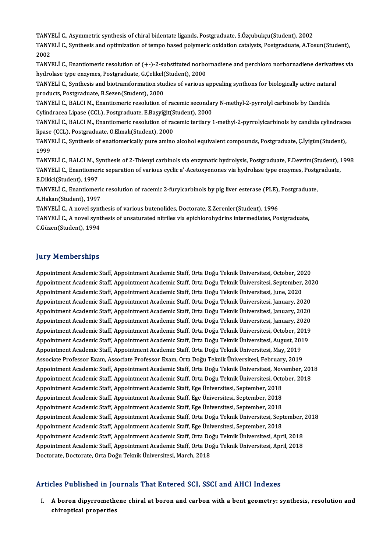TANYELİ C., Asymmetric synthesis of chiral bidentate ligands, Postgraduate, S.Özçubukçu(Student), 2002<br>TANYELİ G. Synthesis and ontimization of tampe based polymenis evidetion satelysta Postgraduate, A.Tes

TANYELİ C., Synthesis and optimization of tempo based polymeric oxidation catalysts, Postgraduate, A.Tosun(Student),<br>2002 TANY<br>TANY<br>2002<br>TANY TANYELİ C., Synthesis and optimization of tempo based polymeric oxidation catalysts, Postgraduate, A.Tosun(Student),<br>2002<br>TANYELİ C., Enantiomeric resolution of (+-)-2-substituted norbornadiene and perchloro norbornadiene

2002<br>TANYELİ C., Enantiomeric resolution of (+-)-2-substituted norbo<br>hydrolase type enzymes, Postgraduate, G.Çelikel(Student), 2000<br>TANYELİ G. Synthesis and biotransformation studies of various s TANYELİ C., Enantiomeric resolution of (+-)-2-substituted norbornadiene and perchloro norbornadiene derivativ<br>hydrolase type enzymes, Postgraduate, G.Çelikel(Student), 2000<br>TANYELİ C., Synthesis and biotransformation studi

hydrolase type enzymes, Postgraduate, G.Çelikel(Student), 2000<br>TANYELİ C., Synthesis and biotransformation studies of various appealing synthons for biologically active natur<br>products, Postgraduate, B.Sezen(Student), 2000<br> TANYELI C., Synthesis and biotransformation studies of various appealing synthons for biologically active natural

Cylindracea Lipase (CCL), Postgraduate, E.Başyiğit(Student), 2000 TANYELİ C., BALCI M., Enantiomeric resolution of racemic secondary N-methyl-2-pyrrolyl carbinols by Candida<br>Cylindracea Lipase (CCL), Postgraduate, E.Başyiğit(Student), 2000<br>TANYELİ C., BALCI M., Enantiomeric resolution of

Cylindracea Lipase (CCL), Postgraduate, E.Başyiğit(S<br>TANYELİ C., BALCI M., Enantiomeric resolution of radi<br>lipase (CCL), Postgraduate, O.Elmalı(Student), 2000<br>TANYELİ C. Synthesis of anatiomeriselly nure amine TANYELİ C., BALCI M., Enantiomeric resolution of racemic tertiary 1-methyl-2-pyrrolylcarbinols by candida cylindrace<br>lipase (CCL), Postgraduate, O.Elmalı(Student), 2000<br>TANYELİ C., Synthesis of enatiomerically pure amino a

lipase (CCL), Postgraduate, O.Elmalı(Student), 2000<br>TANYELİ C., Synthesis of enatiomerically pure amino alcohol equivalent compounds, Postgraduate, Ç.İyigün(Student),<br>1999 TANYELİ C., Synthesis of enatiomerically pure amino alcohol equivalent compounds, Postgraduate, Ç.İyigün(Student),<br>1999<br>TANYELİ C., BALCI M., Synthesis of 2-Thienyl carbinols via enzymatic hydrolysis, Postgraduate, F.Devri

1999<br>TANYELİ C., BALCI M., Synthesis of 2-Thienyl carbinols via enzymatic hydrolysis, Postgraduate, F.Devrim(Student), 1<br>TANYELİ C., Enantiomeric separation of various cyclic a'-Acetoxyenones via hydrolase type enzymes, Po TANYELİ C., BALCI M., S.<br>TANYELİ C., Enantiomer<br>E.Dikici(Student), 1997<br>TANYELİ C., Enantiomer TANYELİ C., Enantiomeric separation of various cyclic a'-Acetoxyenones via hydrolase type enzymes, Postgraduate,<br>E.Dikici(Student), 1997<br>TANYELİ C., Enantiomeric resolution of racemic 2-furylcarbinols by pig liver esterase

E.Dikici(Student), 1997<br>TANYELİ C., Enantiomeri<br>A.Hakan(Student), 1997<br>TANYELİ C. A novel suntl TANYELİ C., Enantiomeric resolution of racemic 2-furylcarbinols by pig liver esterase (PLE),<br>A.Hakan(Student), 1997<br>TANYELİ C., A novel synthesis of various butenolides, Doctorate, Z.Zerenler(Student), 1996<br>TANYELİ C. A no

TANYELİ C., A novel synthesis of various butenolides, Doctorate, Z.Zerenler(Student), 1996

TANYELİ C., A novel synthesis of unsaturated nitriles via epichlorohydrins intermediates, Postgraduate, C.Güzen(Student), 1994

### **Jury Memberships**

**Jury Memberships<br>Appointment Academic Staff, Appointment Academic Staff, Orta Doğu Teknik Üniversitesi, October, 2020<br>Appointment Academic Staff, Appointment Academic Staff, Orta Doğu Teknik Üniversitesi, September, 2020** Jury Tremberempe<br>Appointment Academic Staff, Appointment Academic Staff, Orta Doğu Teknik Üniversitesi, October, 2020<br>Appointment Academic Staff, Appointment Academic Staff, Orta Doğu Teknik Üniversitesi, September, 2020<br>A Appointment Academic Staff, Appointment Academic Staff, Orta Doğu Teknik Üniversitesi, October, 20<br>Appointment Academic Staff, Appointment Academic Staff, Orta Doğu Teknik Üniversitesi, September,<br>Appointment Academic Staf Appointment Academic Staff, Appointment Academic Staff, Orta Doğu Teknik Üniversitesi, September, 2020<br>Appointment Academic Staff, Appointment Academic Staff, Orta Doğu Teknik Üniversitesi, June, 2020<br>Appointment Academic Appointment Academic Staff, Appointment Academic Staff, Orta Doğu Teknik Üniversitesi, June, 2020<br>Appointment Academic Staff, Appointment Academic Staff, Orta Doğu Teknik Üniversitesi, January, 2020<br>Appointment Academic St Appointment Academic Staff, Appointment Academic Staff, Orta Doğu Teknik Üniversitesi, January, 2020<br>Appointment Academic Staff, Appointment Academic Staff, Orta Doğu Teknik Üniversitesi, January, 2020<br>Appointment Academic Appointment Academic Staff, Appointment Academic Staff, Orta Doğu Teknik Üniversitesi, January, 2020<br>Appointment Academic Staff, Appointment Academic Staff, Orta Doğu Teknik Üniversitesi, January, 2020<br>Appointment Academic Appointment Academic Staff, Appointment Academic Staff, Orta Doğu Teknik Üniversitesi, January, 2020<br>Appointment Academic Staff, Appointment Academic Staff, Orta Doğu Teknik Üniversitesi, October, 2019<br>Appointment Academic Appointment Academic Staff, Appointment Academic Staff, Orta Doğu Teknik Üniversitesi, October, 2019 Associate Professor Exam, Associate Professor Exam, Orta Doğu Teknik Üniversitesi, February, 2019 Appointment Academic Staff, Appointment Academic Staff, Orta Doğu Teknik Üniversitesi, May, 2019<br>Associate Professor Exam, Associate Professor Exam, Orta Doğu Teknik Üniversitesi, February, 2019<br>Appointment Academic Staff, Associate Professor Exam, Associate Professor Exam, Orta Doğu Teknik Üniversitesi, February, 2019<br>Appointment Academic Staff, Appointment Academic Staff, Orta Doğu Teknik Üniversitesi, November, 201<br>Appointment Academic St Appointment Academic Staff, Appointment Academic Staff, Orta Doğu Teknik Üniversitesi, Nov<br>Appointment Academic Staff, Appointment Academic Staff, Orta Doğu Teknik Üniversitesi, Octo<br>Appointment Academic Staff, Appointment Appointment Academic Staff, Appointment Academic Staff, Orta Doğu Teknik Üniversitesi, Octo<br>Appointment Academic Staff, Appointment Academic Staff, Ege Üniversitesi, September, 2018<br>Appointment Academic Staff, Appointment Appointment Academic Staff, Appointment Academic Staff, Ege Üniversitesi, September, 2018<br>Appointment Academic Staff, Appointment Academic Staff, Ege Üniversitesi, September, 2018<br>Appointment Academic Staff, Appointment Ac Appointment Academic Staff, Appointment Academic Staff, Ege Üniversitesi, September, 2018<br>Appointment Academic Staff, Appointment Academic Staff, Ege Üniversitesi, September, 2018<br>Appointment Academic Staff, Appointment Ac Appointment Academic Staff, Appointment Academic Staff, Ege Üniversitesi, September, 2018<br>Appointment Academic Staff, Appointment Academic Staff, Orta Doğu Teknik Üniversitesi, Sep<br>Appointment Academic Staff, Appointment A Appointment Academic Staff, Appointment Academic Staff, Orta Doğu Teknik Üniversitesi, September,<br>Appointment Academic Staff, Appointment Academic Staff, Ege Üniversitesi, September, 2018<br>Appointment Academic Staff, Appoin Appointment Academic Staff, Appointment Academic Staff, Orta Doğu Teknik Üniversitesi, April, 2018<br>Appointment Academic Staff, Appointment Academic Staff, Orta Doğu Teknik Üniversitesi, April, 2018 Doctorate, Doctorate, Orta Doğu Teknik Üniversitesi, March, 2018

### Articles Published in Journals That Entered SCI, SSCI and AHCI Indexes

I. A boron dipyrromethene chiral at boron and carbon with a bent geometry: synthesis, resolution and<br>I. A boron dipyrromethene chiral at boron and carbon with a bent geometry: synthesis, resolution and<br>chiraptical properti chiroptical properties<br>Chiroptical properties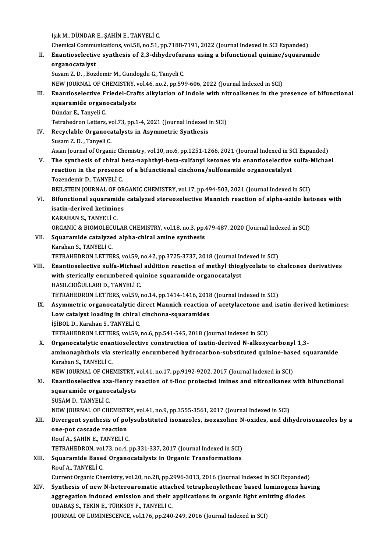IşıkM.,DÜNDARE.,ŞAHİNE.,TANYELİC.

Işık M., DÜNDAR E., ŞAHİN E., TANYELİ C.<br>Chemical Communications, vol.58, no.51, pp.7188-7191, 2022 (Journal Indexed in SCI Expanded)<br>Enantiosalestive sunthesis of 2.2 dibydrofunans using a bifunstional suinine (savaram

II. Enantioselective synthesis of 2,3-dihydrofurans using a bifunctional quinine/squaramide<br>organocatalyst Chemical Commu<br>Enantioselectiv<br>organocatalyst<br>Susam 7, D., Bor

Susam Z.D., Bozdemir M., Gundogdu G., Tanyeli C.

NEW JOURNAL OF CHEMISTRY, vol.46, no.2, pp.599-606, 2022 (Journal Indexed in SCI)

## Susam Z. D. , Bozdemir M., Gundogdu G., Tanyeli C.<br>NEW JOURNAL OF CHEMISTRY, vol.46, no.2, pp.599-606, 2022 (Journal Indexed in SCI)<br>III. Enantioselective Friedel-Crafts alkylation of indole with nitroalkenes in the presen NEW JOURNAL OF CHEMISTRY,<br>Enantioselective Friedel-Crai<br>squaramide organocatalysts<br>Dünder E. Tenveli C Enantioselective F<br>squaramide organ<br>Dündar E., Tanyeli C.<br>Tetrabedron Letters squaramide organocatalysts<br>Dündar E., Tanyeli C.<br>Tetrahedron Letters, vol.73, pp.1-4, 2021 (Journal Indexed in SCI)

Dündar E., Tanyeli C.<br>Tetrahedron Letters, vol.73, pp.1-4, 2021 (Journal Indexed :<br>IV. Recyclable Organocatalysts in Asymmetric Synthesis<br>Susam 7. D. Tanyeli C. Tetrahedron Letters, ve<br>Recyclable Organoca<br>Susam Z. D. , Tanyeli C.<br>Asian Jaunnal of Organ

Susam Z. D. , Tanyeli C.<br>Asian Journal of Organic Chemistry, vol.10, no.6, pp.1251-1266, 2021 (Journal Indexed in SCI Expanded)

Susam Z. D. , Tanyeli C.<br>Asian Journal of Organic Chemistry, vol.10, no.6, pp.1251-1266, 2021 (Journal Indexed in SCI Expanded)<br>V. The synthesis of chiral beta-naphthyl-beta-sulfanyl ketones via enantioselective sulfa-Mich Asian Journal of Organic Chemistry, vol.10, no.6, pp.1251-1266, 2021 (Journal Indexed in S<br>The synthesis of chiral beta-naphthyl-beta-sulfanyl ketones via enantioselective<br>reaction in the presence of a bifunctional cinchon The synthesis of chiral t<br>reaction in the presence<br>Tozendemir D., TANYELİ C.<br>PEU STEIN JOUPNAL OF OP reaction in the presence of a bifunctional cinchona/sulfonamide organocatalyst<br>Tozendemir D., TANYELİ C.<br>BEILSTEIN JOURNAL OF ORGANIC CHEMISTRY, vol.17, pp.494-503, 2021 (Journal Indexed in SCI)<br>Bifunctional caueramide est

- Tozendemir D., TANYELİ C.<br>BEILSTEIN JOURNAL OF ORGANIC CHEMISTRY, vol.17, pp.494-503, 2021 (Journal Indexed in SCI)<br>VI. Bifunctional squaramide catalyzed stereoselective Mannich reaction of alpha-azido ketones with<br>ioa BEILSTEIN JOURNAL OF OR<br>Bifunctional squaramide<br>isatin-derived ketimines<br>KARAHAN S. TANVELLC Bifunctional squarami<br>isatin-derived ketimin<br>KARAHAN S., TANYELİ C.<br>OPCANIC & PIOMOLECUI isatin-derived ketimines<br>KARAHAN S., TANYELİ C.<br>ORGANIC & BIOMOLECULAR CHEMISTRY, vol.18, no.3, pp.479-487, 2020 (Journal Indexed in SCI)<br>Sauaramide satalyzed alpha shiral amine synthesis
	-

- KARAHAN S., TANYELİ C.<br>ORGANIC & BIOMOLECULAR CHEMISTRY, vol.18, no.3, pp.<br>VII. Squaramide catalyzed alpha-chiral amine synthesis<br>Karahan S., TANYELİ C. ORGANIC & BIOMOLEC<br>Squaramide catalyze<br>Karahan S., TANYELİ C.<br>TETPAHEDRON LETTEL TETRAHEDRON LETTERS, vol.59, no.42, pp.3725-3737, 2018 (Journal Indexed in SCI)
- Karahan S., TANYELİ C.<br>TETRAHEDRON LETTERS, vol.59, no.42, pp.3725-3737, 2018 (Journal Indexed in SCI)<br>VIII. Enantioselective sulfa-Michael addition reaction of methyl thioglycolate to chalcones derivatives<br>with starically TETRAHEDRON LETTERS, vol.59, no.42, pp.3725-3737, 2018 (Journal In<br>Enantioselective sulfa-Michael addition reaction of methyl thiog<br>with sterically encumbered quinine squaramide organocatalyst<br>HASH CIOČHI LABLD, TANVELLC Enantioselective sulfa-Michael<br>with sterically encumbered qu<br>HASILCIOĞULLARI D., TANYELİ C.<br>TETPAUEDRON LETTERS vel59 with sterically encumbered quinine squaramide organocatalyst<br>HASILCIOĞULLARI D., TANYELİ C.<br>TETRAHEDRON LETTERS, vol.59, no.14, pp.1414-1416, 2018 (Journal Indexed in SCI)

- HASILCIOĞULLARI D., TANYELİ C.<br>TETRAHEDRON LETTERS, vol.59, no.14, pp.1414-1416, 2018 (Journal Indexed in SCI)<br>IX. Asymmetric organocatalytic direct Mannich reaction of acetylacetone and isatin derived ketimines:<br>Low satel TETRAHEDRON LETTERS, vol.59, no.14, pp.1414-1416, 2018<br>Asymmetric organocatalytic direct Mannich reaction<br>Low catalyst loading in chiral cinchona-squaramides<br>isipol D. Karaban S. TANYELLC Asymmetric organocatalytic d<br>Low catalyst loading in chiral<br>İŞİBOL D., Karahan S., TANYELİ C.<br>TETPAHEDPON LETTERS, vol£0. Low catalyst loading in chiral cinchona-squaramides<br>151BOL D., Karahan S., TANYELI C.<br>TETRAHEDRON LETTERS, vol.59, no.6, pp.541-545, 2018 (Journal Indexed in SCI) işiBOL D., Karahan S., TANYELİ C.<br>TETRAHEDRON LETTERS, vol.59, no.6, pp.541-545, 2018 (Journal Indexed in SCI)<br>X. Organocatalytic enantioselective construction of isatin-derived N-alkoxycarbonyl 1,3-<br>Aminonanhtholo via sta
- TETRAHEDRON LETTERS, vol.59, no.6, pp.541-545, 2018 (Journal Indexed in SCI)<br>Organocatalytic enantioselective construction of isatin-derived N-alkoxycarbonyl 1,3-<br>aminonaphthols via sterically encumbered hydrocarbon-substi Organocatalytic enan<br>aminonaphthols via :<br>Karahan S., TANYELİ C.<br>NEW JOUPNAL OF CUE aminonaphthols via sterically encumbered hydrocarbon-substituted quinine-base<br>Karahan S., TANYELİ C.<br>NEW JOURNAL OF CHEMISTRY, vol.41, no.17, pp.9192-9202, 2017 (Journal Indexed in SCI)<br>Enantiosolastive are Hanny reastion Karahan S., TANYELİ C.<br>NEW JOURNAL OF CHEMISTRY, vol.41, no.17, pp.9192-9202, 2017 (Journal Indexed in SCI)<br>XI. Enantioselective aza-Henry reaction of t-Boc protected imines and nitroalkanes with bifunctional

# NEW JOURNAL OF CHEMISTRY,<br>Enantioselective aza-Henry r<br>squaramide organocatalysts<br>SUSAM D. TANVELLE Enantioselective az<mark>z</mark><br>squaramide organo<br>SUSAM D., TANYELİ C.<br>NEW JOUPNAL OE CHI

SUSAM D., TANYELİ C.<br>NEW JOURNAL OF CHEMISTRY, vol.41, no.9, pp.3555-3561, 2017 (Journal Indexed in SCI)

## SUSAM D., TANYELİ C.<br>NEW JOURNAL OF CHEMISTRY, vol.41, no.9, pp.3555-3561, 2017 (Journal Indexed in SCI)<br>XII. Divergent synthesis of polysubstituted isoxazoles, isoxazoline N-oxides, and dihydroisoxazoles by a<br>2008 not NEW JOURNAL OF CHEMISTF<br>Divergent synthesis of po<br>one-pot cascade reaction<br>Pouf A. SAHIN E. TANVELLO Divergent synthesis of pol<br>one-pot cascade reaction<br>Rouf A., ŞAHİN E., TANYELİ C.<br>TETPALIEDRON vol 72 no 4 1 one-pot cascade reaction<br>Rouf A., ŞAHİN E., TANYELİ C.<br>TETRAHEDRON, vol.73, no.4, pp.331-337, 2017 (Journal Indexed in SCI)<br>Saueremide Besed Organesatelysts in Organis Transformations.

Rouf A., ŞAHİN E., TANYELİ C.<br>TETRAHEDRON, vol.73, no.4, pp.331-337, 2017 (Journal Indexed in SCI)<br>XIII. Squaramide Based Organocatalysts in Organic Transformations<br>Rouf A., TANYELİ C. TETRAHEDRON, vol<br>Squaramide Base<br>Rouf A., TANYELİ C.<br>Current Organia Che

Current Organic Chemistry, vol.20, no.28, pp.2996-3013, 2016 (Journal Indexed in SCI Expanded)

Rouf A., TANYELİ C.<br>Current Organic Chemistry, vol.20, no.28, pp.2996-3013, 2016 (Journal Indexed in SCI Expanded)<br>XIV. Synthesis of new N-heteroaromatic attached tetraphenylethene based luminogens having<br>aggregation induc Current Organic Chemistry, vol.20, no.28, pp.2996-3013, 2016 (Journal Indexed in SCI Expanded<br>Synthesis of new N-heteroaromatic attached tetraphenylethene based luminogens ha<br>aggregation induced emission and their applicat Synthesis of new N-heteroaromatic attac<br>aggregation induced emission and their<br>ODABAŞ S., TEKİN E., TÜRKSOY F., TANYELİ C.<br>JOUPMAL OF LUMNESCENCE, vol.176, np.240 aggregation induced emission and their applications in organic light emitting diodes<br>ODABAŞ S., TEKİN E., TÜRKSOY F., TANYELİ C.<br>JOURNAL OF LUMINESCENCE, vol.176, pp.240-249, 2016 (Journal Indexed in SCI)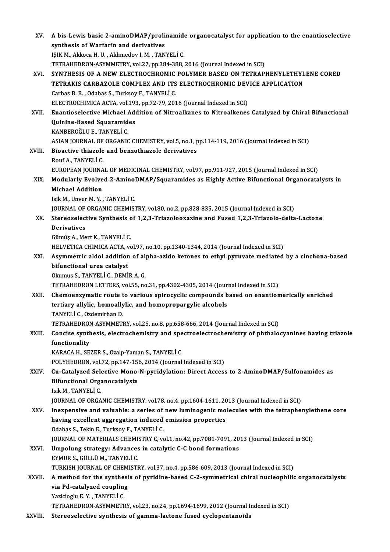| XV.     | A bis-Lewis basic 2-aminoDMAP/prolinamide organocatalyst for application to the enantioselective                                |
|---------|---------------------------------------------------------------------------------------------------------------------------------|
|         | synthesis of Warfarin and derivatives                                                                                           |
|         | IŞIK M., Akkoca H. U., Akhmedov I. M., TANYELİ C.                                                                               |
|         | TETRAHEDRON-ASYMMETRY, vol.27, pp.384-388, 2016 (Journal Indexed in SCI)                                                        |
| XVI.    | SYNTHESIS OF A NEW ELECTROCHROMIC POLYMER BASED ON TETRAPHENYLETHYLENE CORED                                                    |
|         | TETRAKIS CARBAZOLE COMPLEX AND ITS ELECTROCHROMIC DEVICE APPLICATION                                                            |
|         | Carbas B. B., Odabas S., Turksoy F., TANYELİ C.                                                                                 |
|         | ELECTROCHIMICA ACTA, vol.193, pp.72-79, 2016 (Journal Indexed in SCI)                                                           |
| XVII.   | Enantioselective Michael Addition of Nitroalkanes to Nitroalkenes Catalyzed by Chiral Bifunctional                              |
|         | Quinine-Based Squaramides                                                                                                       |
|         | KANBEROĞLU E, TANYELİ C.                                                                                                        |
|         | ASIAN JOURNAL OF ORGANIC CHEMISTRY, vol.5, no.1, pp.114-119, 2016 (Journal Indexed in SCI)                                      |
| XVIII.  | Bioactive thiazole and benzothiazole derivatives                                                                                |
|         | Rouf A, TANYELİ C                                                                                                               |
|         | EUROPEAN JOURNAL OF MEDICINAL CHEMISTRY, vol.97, pp.911-927, 2015 (Journal Indexed in SCI)                                      |
| XIX.    | Modularly Evolved 2-AminoDMAP/Squaramides as Highly Active Bifunctional Organocatalysts in                                      |
|         | <b>Michael Addition</b><br>Isik M., Unver M.Y., TANYELİ C.                                                                      |
|         | JOURNAL OF ORGANIC CHEMISTRY, vol.80, no.2, pp.828-835, 2015 (Journal Indexed in SCI)                                           |
| XX.     | Stereoselective Synthesis of 1,2,3-Triazolooxazine and Fused 1,2,3-Triazolo-delta-Lactone                                       |
|         | <b>Derivatives</b>                                                                                                              |
|         | Gümüş A., Mert K., TANYELİ C.                                                                                                   |
|         | HELVETICA CHIMICA ACTA, vol.97, no.10, pp.1340-1344, 2014 (Journal Indexed in SCI)                                              |
| XXI.    | Asymmetric aldol addition of alpha-azido ketones to ethyl pyruvate mediated by a cinchona-based                                 |
|         | bifunctional urea catalyst                                                                                                      |
|         | Okumus S., TANYELİ C., DEMİR A. G.                                                                                              |
|         | TETRAHEDRON LETTERS, vol.55, no.31, pp.4302-4305, 2014 (Journal Indexed in SCI)                                                 |
| XXII.   | Chemoenzymatic route to various spirocyclic compounds based on enantiomerically enriched                                        |
|         | tertiary allylic, homoallylic, and homopropargylic alcohols                                                                     |
|         | TANYELİ C., Ozdemirhan D.                                                                                                       |
|         | TETRAHEDRON-ASYMMETRY, vol.25, no.8, pp.658-666, 2014 (Journal Indexed in SCI)                                                  |
| XXIII.  | Concise synthesis, electrochemistry and spectroelectrochemistry of phthalocyanines having triazole                              |
|         | functionality                                                                                                                   |
|         | KARACA H., SEZER S., Ozalp-Yaman S., TANYELİ C.                                                                                 |
|         | POLYHEDRON, vol.72, pp.147-156, 2014 (Journal Indexed in SCI)                                                                   |
| XXIV.   | Cu-Catalyzed Selective Mono-N-pyridylation: Direct Access to 2-AminoDMAP/Sulfonamides as<br><b>Bifunctional Organocatalysts</b> |
|         | Isik M., TANYELİ C                                                                                                              |
|         | JOURNAL OF ORGANIC CHEMISTRY, vol.78, no.4, pp.1604-1611, 2013 (Journal Indexed in SCI)                                         |
| XXV.    | Inexpensive and valuable: a series of new luminogenic molecules with the tetraphenylethene core                                 |
|         | having excellent aggregation induced emission properties                                                                        |
|         | Odabas S., Tekin E., Turksoy F., TANYELİ C.                                                                                     |
|         | JOURNAL OF MATERIALS CHEMISTRY C, vol.1, no.42, pp.7081-7091, 2013 (Journal Indexed in SCI)                                     |
| XXVI.   | Umpolung strategy: Advances in catalytic C-C bond formations                                                                    |
|         | EYMUR S., GÖLLÜ M., TANYELİ C.                                                                                                  |
|         | TURKISH JOURNAL OF CHEMISTRY, vol.37, no.4, pp.586-609, 2013 (Journal Indexed in SCI)                                           |
| XXVII.  | A method for the synthesis of pyridine-based C-2-symmetrical chiral nucleophilic organocatalysts                                |
|         | via Pd-catalyzed coupling                                                                                                       |
|         | Yazicioglu E.Y., TANYELİ C.                                                                                                     |
|         | TETRAHEDRON-ASYMMETRY, vol.23, no.24, pp.1694-1699, 2012 (Journal Indexed in SCI)                                               |
| XXVIII. | Stereoselective synthesis of gamma-lactone fused cyclopentanoids                                                                |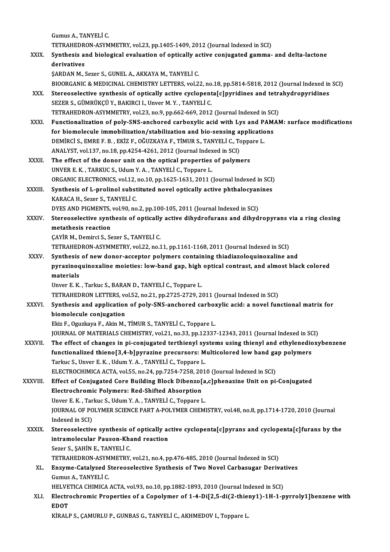GumusA.,TANYELİC. Gumus A., TANYELİ C.<br>TETRAHEDRON-ASYMMETRY, vol.23, pp.1405-1409, 2012 (Journal Indexed in SCI)<br>Synthesis and biologisel evaluation of antiselly estive seniusated samma XXIX. Synthesis and biological evaluation of optically active conjugated gamma- and delta-lactone<br>derivatives TETRAHEDR<br>Synthesis al<br>derivatives<br>SAPDAN M ŞARDAN M., Sezer S., GUNEL A., AKKAYA M., TANYELİ C. derivatives<br>ŞARDAN M., Sezer S., GUNEL A., AKKAYA M., TANYELİ C.<br>BIOORGANIC & MEDICINAL CHEMISTRY LETTERS, vol.22, no.18, pp.5814-5818, 2012 (Journal Indexed in SCI)<br>Starsosselestive sunthesis of entiselly astive syslepent SARDAN M., Sezer S., GUNEL A., AKKAYA M., TANYELI C.<br>BIOORGANIC & MEDICINAL CHEMISTRY LETTERS, vol.22, no.18, pp.5814-5818, 2012 (Journal Indexed in<br>XXX. Stereoselective synthesis of optically active cyclopenta[c]pyridines BIOORGANIC & MEDICINAL CHEMISTRY LETTERS, vol.22, no<br>Stereoselective synthesis of optically active cyclopent<br>SEZER S., GÜMRÜKÇÜ Y., BAKIRCI I., Unver M. Y. , TANYELİ C.<br>TETRAHEDRON ASYMMETRY vol.22, no.9, np.662,669, 2012 XXX. Stereoselective synthesis of optically active cyclopenta[c]pyridines and tetrahydropyridines<br>SEZER S., GÜMRÜKÇÜ Y., BAKIRCI I., Unver M. Y. , TANYELİ C.<br>TETRAHEDRON-ASYMMETRY, vol.23, no.9, pp.662-669, 2012 (Journal I SEZER S., GÜMRÜKÇÜ Y., BAKIRCI I., Unver M. Y. , TANYELİ C.<br>TETRAHEDRON-ASYMMETRY, vol.23, no.9, pp.662-669, 2012 (Journal Indexed in SCI)<br>XXXI. Functionalization of poly-SNS-anchored carboxylic acid with Lys and PAMAM: su TETRAHEDRON-ASYMMETRY, vol.23, no.9, pp.662-669, 2012 (Journal Indexed in SC)<br>Functionalization of poly-SNS-anchored carboxylic acid with Lys and PAM.<br>for biomolecule immobilization/stabilization and bio-sensing applicatio Functionalization of poly-SNS-anchored carboxylic acid with Lys and P.<br>for biomolecule immobilization/stabilization and bio-sensing applicatio<br>DEMİRCİ S., EMRE F. B. , EKİZ F., OĞUZKAYA F., TİMUR S., TANYELİ C., Toppare L. for biomolecule immobilization/stabilization and bio-sensing applications<br>DEMIRCI S., EMRE F. B. , EKIZ F., OĞUZKAYA F., TIMUR S., TANYELI C., Toppare L.<br>ANALYST, vol.137, no.18, pp.4254-4261, 2012 (Journal Indexed in SCI) DEMIRCI S., EMRE F. B., EKİZ F., OĞUZKAYA F., TİMUR S., TANYELİ C., Toppa<br>ANALYST, vol.137, no.18, pp.4254-4261, 2012 (Journal Indexed in SCI)<br>XXXII. The effect of the donor unit on the optical properties of polymers<br>INNER ANALYST, vol.137, no.18, pp.4254-4261, 2012 (Journal Index<br>The effect of the donor unit on the optical properties<br>UNVER E. K. , TARKUC S., Udum Y. A. , TANYELİ C., Toppare L.<br>OPCANIC ELECTPONICS, vol.12, no.10, np.1625, 16 The effect of the donor unit on the optical properties of polymers<br>UNVER E. K. , TARKUC S., Udum Y. A. , TANYELİ C., Toppare L.<br>ORGANIC ELECTRONICS, vol.12, no.10, pp.1625-1631, 2011 (Journal Indexed in SCI)<br>Synthesis of L UNVER E. K., TARKUC S., Udum Y. A., TANYELİ C., Toppare L.<br>ORGANIC ELECTRONICS, vol.12, no.10, pp.1625-1631, 2011 (Journal Indexed in SCI)<br>XXXIII. Synthesis of L-prolinol substituted novel optically active phthalocyanines<br> ORGANIC ELECTRONICS, vol.12,<br>Synthesis of L-prolinol subst<br>KARACA H., Sezer S., TANYELİ C.<br>DYES AND BICMENTS, vol.00, po Synthesis of L-prolinol substituted novel optically active phthalocyan<br>KARACA H., Sezer S., TANYELİ C.<br>DYES AND PIGMENTS, vol.90, no.2, pp.100-105, 2011 (Journal Indexed in SCI)<br>Starsosselective synthesis of anticelly acti KARACA H., Sezer S., TANYELİ C.<br>DYES AND PIGMENTS, vol.90, no.2, pp.100-105, 2011 (Journal Indexed in SCI)<br>XXXIV. Stereoselective synthesis of optically active dihydrofurans and dihydropyrans via a ring closing<br>matatha DYES AND PIGMENTS,<br>Stereoselective synt<br>metathesis reaction<br>CAVIB M. Domirci S. Sc Stereoselective synthesis of optically<br>metathesis reaction<br>ÇAYİR M., Demirci S., Sezer S., TANYELİ C.<br>TETPAHEDRON ASYMMETRY vel 22. no 1 metathesis reaction<br>CAYİR M., Demirci S., Sezer S., TANYELİ C.<br>TETRAHEDRON-ASYMMETRY, vol.22, no.11, pp.1161-1168, 2011 (Journal Indexed in SCI) CAYIR M., Demirci S., Sezer S., TANYELI C.<br>TETRAHEDRON-ASYMMETRY, vol.22, no.11, pp.1161-1168, 2011 (Journal Indexed in SCI)<br>XXXV. Synthesis of new donor-acceptor polymers containing thiadiazoloquinoxaline and<br>nurasinoquin TETRAHEDRON-ASYMMETRY, vol.22, no.11, pp.1161-1168, 2011 (Journal Indexed in SCI)<br>Synthesis of new donor-acceptor polymers containing thiadiazoloquinoxaline and<br>pyrazinoquinoxaline moieties: low-band gap, high optical cont Synthesis<br>pyrazinoq<br>materials<br>Unver E K pyrazinoquinoxaline moieties: low-band gap, high<br>materials<br>Unver E. K. , Tarkuc S., BARAN D., TANYELİ C., Toppare L.<br>TETRAHEDRON LETTERS vol 52 no 21 nn 2725 2729 24 materials<br>Unver E. K. , Tarkuc S., BARAN D., TANYELİ C., Toppare L.<br>TETRAHEDRON LETTERS, vol.52, no.21, pp.2725-2729, 2011 (Journal Indexed in SCI) Unver E. K. , Tarkuc S., BARAN D., TANYELİ C., Toppare L.<br>TETRAHEDRON LETTERS, vol.52, no.21, pp.2725-2729, 2011 (Journal Indexed in SCI)<br>XXXVI. Synthesis and application of poly-SNS-anchored carboxylic acid: a novel funct TETRAHEDRON LETTERS, vo<br>Synthesis and application<br>biomolecule conjugation<br>Flir E. Ogyglove E. Altin M Synthesis and application of poly-SNS-anchored carbo:<br>biomolecule conjugation<br>Ekiz F., Oguzkaya F., Akin M., TİMUR S., TANYELİ C., Toppare L.<br>JOUPNAL OE MATERIALS CHEMISTRY vol 21 no 22 nn 12227 biomolecule conjugation<br>Ekiz F., Oguzkaya F., Akin M., TİMUR S., TANYELİ C., Toppare L.<br>JOURNAL OF MATERIALS CHEMISTRY, vol.21, no.33, pp.12337-12343, 2011 (Journal Indexed in SCI)<br>The effect of shanges in ni soniyasted te Ekiz F., Oguzkaya F., Akin M., TİMUR S., TANYELİ C., Toppare L.<br>JOURNAL OF MATERIALS CHEMISTRY, vol.21, no.33, pp.12337-12343, 2011 (Journal Indexed in SCI)<br>XXXVII. The effect of changes in pi-conjugated terthienyl systems JOURNAL OF MATERIALS CHEMISTRY, vol.21, no.33, pp.12337-12343, 2011 (Journal Indexed in SC)<br>The effect of changes in pi-conjugated terthienyl systems using thienyl and ethylenedic<br>functionalized thieno[3,4-b]pyrazine precu Tarkuc S.,Unver E.K. ,UdumY.A. ,TANYELİC.,Toppare L. ELECTROCHIMICA ACTA, vol.55, no.24, pp.7254-7258, 2010 (Journal Indexed in SCI) Tarkuc S., Unver E. K. , Udum Y. A. , TANYELİ C., Toppare L.<br>ELECTROCHIMICA ACTA, vol.55, no.24, pp.7254-7258, 2010 (Journal Indexed in SCI)<br>XXXVIII. Effect of Conjugated Core Building Block Dibenzo[a,c]phenazine Unit on p ELECTROCHIMICA ACTA, vol.55, no.24, pp.7254-7258, 20<br>Effect of Conjugated Core Building Block Dibenzo<br>Electrochromic Polymers: Red-Shifted Absorption<br>Unver E.K., Tarlue S. Hdum V.A., TANVELLE, Tennare L Effect of Conjugated Core Building Block Dibenzo[a<br>Electrochromic Polymers: Red-Shifted Absorption<br>Unver E.K., Tarkuc S., Udum Y.A., TANYELİ C., Toppare L.<br>JOUPMAL OF POLYMER SCIENCE RART A POLYMER CHEMI Electrochromic Polymers: Red-Shifted Absorption<br>Unver E. K., Tarkuc S., Udum Y. A., TANYELİ C., Toppare L.<br>JOURNAL OF POLYMER SCIENCE PART A-POLYMER CHEMISTRY, vol.48, no.8, pp.1714-1720, 2010 (Journal<br>Indexed in SCI) Unver E. K., Tarkuc S., Udum Y. A., TANYELİ C., Toppare L. JOURNAL OF POLYMER SCIENCE PART A-POLYMER CHEMISTRY, vol.48, no.8, pp.1714-1720, 2010 (Journal<br>Indexed in SCI)<br>XXXIX. Stereoselective synthesis of optically active cyclopenta[c]pyrans and cyclopenta[c]furans by the<br>intrama Indexed in SCI)<br>Stereoselective synthesis of optically ac<br>intramolecular Pauson-Khand reaction<br>Seger S. SAHIN E. TANVELLC Stereoselective synthesis o<br>intramolecular Pauson-Kha<br>Sezer S., ŞAHİN E., TANYELİ C.<br>TETRAHEDRON ASYMMETRY intramolecular Pauson-Khand reaction<br>Sezer S., ŞAHİN E., TANYELİ C.<br>TETRAHEDRON-ASYMMETRY, vol.21, no.4, pp.476-485, 2010 (Journal Indexed in SCI)<br>Fraume Getaluzed Staneosclestive Sunthesia of Two Novel Carbosuger Deniy Sezer S., ŞAHİN E., TANYELİ C.<br>TETRAHEDRON-ASYMMETRY, vol.21, no.4, pp.476-485, 2010 (Journal Indexed in SCI)<br>XL. Enzyme-Catalyzed Stereoselective Synthesis of Two Novel Carbasugar Derivatives<br>Cumus A. TANYELİ C TETRAHEDRON-ASYM<br>Enzyme-Catalyzed S<br>Gumus A., TANYELİ C.<br>HELVETICA CHIMICA Enzyme-Catalyzed Stereoselective Synthesis of Two Novel Carbasugar Derivat<br>Gumus A., TANYELİ C.<br>HELVETICA CHIMICA ACTA, vol.93, no.10, pp.1882-1893, 2010 (Journal Indexed in SCI)<br>Electrochnomic Proportice of a Conolumor of Gumus A., TANYELİ C.<br>HELVETICA CHIMICA ACTA, vol.93, no.10, pp.1882-1893, 2010 (Journal Indexed in SCI)<br>XLI. Electrochromic Properties of a Copolymer of 1-4-Di[2,5-di(2-thieny1)-1H-1-pyrroly1]benzene with<br>EDOT HELVETICA CHIMICA ACTA, vol.93, no.10, pp.1882-1893, 2010 (Journal Indexed in SCI) KİRALP S., ÇAMURLU P., GUNBAS G., TANYELİ C., AKHMEDOV I., Toppare L.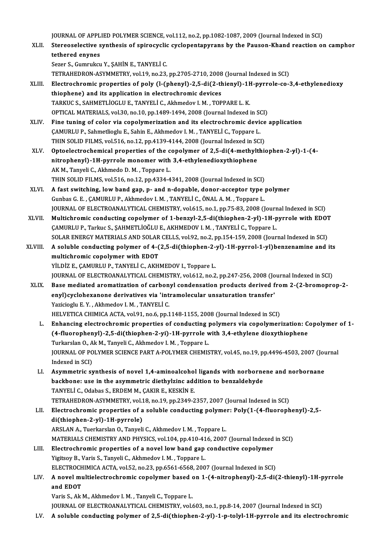JOURNAL OF APPLIED POLYMER SCIENCE, vol.112, no.2, pp.1082-1087, 2009 (Journal Indexed in SCI)<br>Starsosselective synthesis of aninegyalis systemantenymens by the Bausen Khand reastion at

XLII. Stereoselective synthesis of spirocyclic cyclopentapyrans by the Pauson-Khand reaction on camphor<br>tethered enynes **JOURNAL OF APPL<br>Stereoselective s<br>tethered enynes<br>Serer S. Gummikan** 

Sezer S., Gumrukcu Y., ŞAHİN E., TANYELİ C. tethered enynes<br>Sezer S., Gumrukcu Y., ŞAHİN E., TANYELİ C.<br>TETRAHEDRON-ASYMMETRY, vol.19, no.23, pp.2705-2710, 2008 (Journal Indexed in SCI)<br>Flastroshromis proporties of poly (L.(phopyl), 2,5, di(2, thiopyl), 1H, purrolo

- Sezer S., Gumrukcu Y., ŞAHİN E., TANYELİ C.<br>TETRAHEDRON-ASYMMETRY, vol.19, no.23, pp.2705-2710, 2008 (Journal Indexed in SCI)<br>XLIII. Electrochromic properties of poly (l-(phenyl)-2,5-di(2-thienyl)-1H-pyrrole-co-3,4-ethylen TETRAHEDRON-ASYMMETRY, vol.19, no.23, pp.2705-2710, 2008<br>Electrochromic properties of poly (l-(phenyl)-2,5-di(2-th<br>thiophene) and its application in electrochromic devices<br>TARKUCS SAHMETLIOCLUE TANYELLS Akhmodov LM TOP Electrochromic properties of poly (l-(phenyl)-2,5-di(2-thienyl)-1}<br>thiophene) and its application in electrochromic devices<br>TARKUC S., SAHMETLİOGLU E., TANYELİ C., Akhmedov I.M. , TOPPARE L.K.<br>OPTICAL MATERIALS vol 30 no 1 thiophene) and its application in electrochromic devices<br>TARKUC S., SAHMETLİOGLU E., TANYELİ C., Akhmedov I. M. , TOPPARE L. K.<br>OPTICAL MATERIALS, vol.30, no.10, pp.1489-1494, 2008 (Journal Indexed in SCI) TARKUC S., SAHMETLIOGLU E., TANYELI C., Akhmedov I. M., TOPPARE L. K.<br>OPTICAL MATERIALS, vol.30, no.10, pp.1489-1494, 2008 (Journal Indexed in SCI)<br>XLIV. Fine tuning of color via copolymerization and its electrochromic dev
- OPTICAL MATERIALS, vol.30, no.10, pp.1489-1494, 2008 (Journal Indexed in SO.<br>Fine tuning of color via copolymerization and its electrochromic device<br>CAMURLU P., Sahmetlioglu E., Sahin E., Akhmedov I.M. , TANYELİ C., Toppar Fine tuning of color via copolymerization and its electrochromic device<br>CAMURLU P., Sahmetlioglu E., Sahin E., Akhmedov I. M. , TANYELİ C., Toppare L.<br>THIN SOLID FILMS, vol.516, no.12, pp.4139-4144, 2008 (Journal Indexed i CAMURLU P., Sahmetlioglu E., Sahin E., Akhmedov I. M. , TANYELİ C., Toppare L.<br>THIN SOLID FILMS, vol.516, no.12, pp.4139-4144, 2008 (Journal Indexed in SCI)<br>XLV. Optoelectrochemical properties of the copolymer of 2,5-di(4-
- THIN SOLID FILMS, vol.516, no.12, pp.4139-4144, 2008 (Journal Indexed in SOLID FILMS, vol.516, no.12, pp.4139-4144, 2008 (Journal Indexed in SOLID for objection of 2,5-di(4-methylt nitrophenyl)-1H-pyrrole monomer with 3,4-Optoelectrochemical properties of the c<br>nitrophenyl)-1H-pyrrole monomer with<br>AK M., Tanyeli C., Akhmedo D. M. , Toppare L.<br>THIN SOLID FILMS vol 516 no 12 nn 4224 4 nitrophenyl)-1H-pyrrole monomer with 3,4-ethylenedioxythiophene<br>AK M., Tanyeli C., Akhmedo D. M. , Toppare L.<br>THIN SOLID FILMS, vol.516, no.12, pp.4334-4341, 2008 (Journal Indexed in SCI)<br>A feet ewitching, low band gap, p. AK M., Tanyeli C., Akhmedo D. M. , Toppare L.<br>THIN SOLID FILMS, vol.516, no.12, pp.4334-4341, 2008 (Journal Indexed in SCI)<br>XLVI. A fast switching, low band gap, p- and n-dopable, donor-acceptor type polymer<br>Curbes G. E. C
- THIN SOLID FILMS, vol.516, no.12, pp.4334-4341, 2008 (Journal Indexed in SCI)<br>A fast switching, low band gap, p- and n-dopable, donor-acceptor type<br>Gunbas G. E. , ÇAMURLU P., Akhmedov I.M. , TANYELİ C., ÖNAL A.M. , Toppare A fast switching, low band gap, p- and n-dopable, donor-acceptor type polymer<br>Gunbas G. E. , ÇAMURLU P., Akhmedov I. M. , TANYELİ C., ÖNAL A. M. , Toppare L.<br>JOURNAL OF ELECTROANALYTICAL CHEMISTRY, vol.615, no.1, pp.75-83, Gunbas G. E. , ÇAMURLU P., Akhmedov I. M. , TANYELİ C., ÖNAL A. M. , Toppare L.<br>JOURNAL OF ELECTROANALYTICAL CHEMISTRY, vol.615, no.1, pp.75-83, 2008 (Journal Indexed in SCI)<br>XLVII. Multichromic conducting copolymer of 1-b
- JOURNAL OF ELECTROANALYTICAL CHEMISTRY, vol.615, no.1, pp.75-83, 2008 (Journ<br>Multichromic conducting copolymer of 1-benzyl-2,5-di(thiophen-2-yl)-1H-p<br>ÇAMURLU P., Tarkuc S., ŞAHMETLİOĞLU E., AKHMEDOV I. M. , TANYELİ C., Top Multichromic conducting copolymer of 1-benzyl-2,5-di(thiophen-2-yl)-1H-pyrrole with ED01<br>CAMURLU P., Tarkuc S., SAHMETLİOĞLU E., AKHMEDOV I. M. , TANYELİ C., Toppare L.<br>SOLAR ENERGY MATERIALS AND SOLAR CELLS, vol.92, no.2, CAMURLU P., Tarkuc S., ŞAHMETLİOĞLU E., AKHMEDOV I. M. , TANYELİ C., Toppare L.<br>SOLAR ENERGY MATERIALS AND SOLAR CELLS, vol.92, no.2, pp.154-159, 2008 (Journal Indexed in SCI)<br>XLVIII. A soluble conducting polymer of 4-
- SOLAR ENERGY MATERIALS AND SOLAR<br>A soluble conducting polymer of 4-(<br>multichromic copolymer with EDOT<br>vil Diz E. CAMIPLU P. TANVELLC. AVU A soluble conducting polymer of 4-(2,5-di(thiophen-2-)<br>multichromic copolymer with EDOT<br>YİLDİZ E., ÇAMURLU P., TANYELİ C., AKHMEDOV I., Toppare L.<br>JOUPNAL OF ELECTROANALYTICAL CHEMISTRY vel 612 no 2 multichromic copolymer with EDOT<br>YİLDİZ E., ÇAMURLU P., TANYELİ C., AKHMEDOV I., Toppare L.<br>JOURNAL OF ELECTROANALYTICAL CHEMISTRY, vol.612, no.2, pp.247-256, 2008 (Journal Indexed in SCI)<br>Pase mediated arematisation of sa

- YİLDİZ E., ÇAMURLU P., TANYELİ C., AKHMEDOV I., Toppare L.<br>JOURNAL OF ELECTROANALYTICAL CHEMISTRY, vol.612, no.2, pp.247-256, 2008 (Journal Indexed in SCI)<br>XLIX. Base mediated aromatization of carbonyl condensation product JOURNAL OF ELECTROANALYTICAL CHEMISTRY, vol.612, no.2, pp.247-256, 2008 (Jo<br>Base mediated aromatization of carbonyl condensation products derived f<br>enyl)cyclohexanone derivatives via 'intramolecular unsaturation transfer'<br> YaziciogluE.Y. ,Akhmedov I.M. ,TANYELİC. HELVETICA CHIMICA ACTA, vol.91, no.6, pp.1148-1155, 2008 (Journal Indexed in SCI)
	- L. Enhancing electrochromic properties of conducting polymers via copolymerization: Copolymer of 1- HELVETICA CHIMICA ACTA, vol.91, no.6, pp.1148-1155, 2008 (Journal Indexed in SCI)<br>Enhancing electrochromic properties of conducting polymers via copolymerization: C<br>(4-fluorophenyl)-2,5-di(thiophen-2-yi)-1H-pyrrole with 3, Enhancing electrochromic properties of conducting **[4-fluorophenyl]-2,5-di(thiophen-2-yi)-1H-pyrrole w**<br>Turkarslan O., Ak M., Tanyeli C., Akhmedov I. M. , Toppare L.<br>JOUPNAL OF POLYMER SCIENCE BART A POLYMER CUEMIS JOURNAL OF POLYMER SCIENCE PART A-POLYMER CHEMISTRY, vol.45, no.19, pp.4496-4503, 2007 (Journal Indexed in SCI) Turkarslan O., Ak M., Tanyeli C., Akhmedov I. M., Toppare L. JOURNAL OF POLYMER SCIENCE PART A-POLYMER CHEMISTRY, vol.45, no.19, pp.4496-4503, 2007 (Journal)<br>Indexed in SCI)<br>LI. Asymmetric synthesis of novel 1,4-aminoalcohol ligands with norbornene and norbornane<br>hackbones we in the
	- Indexed in SCI)<br>Asymmetric synthesis of novel 1,4-aminoalcohol ligands with norborne<br>backbone: use in the asymmetric diethylzinc addition to benzaldehyde<br>TANVELLG Odabas S. ERDEM M. GAKIR F. KESKIN E backbone: use in the asymmetric diethylzinc addition to benzaldehyde TANYELİ C., Odabas S., ERDEM M., ÇAKIR E., KESKİN E. TETRAHEDRON-ASYMMETRY,vol.18,no.19,pp.2349-2357,2007 (Journal Indexed inSCI)

LII. Electrochromic properties of a soluble conducting polymer: Poly(1-(4-fluorophenyl)-2,5di(thiophen-2-yl)-1H-pyrrole) ARSLANA.,TuerkarslanO.,TanyeliC.,Akhmedov I.M. ,Toppare L. di(thiophen-2-yl)-1H-pyrrole)<br>ARSLAN A., Tuerkarslan O., Tanyeli C., Akhmedov I. M. , Toppare L.<br>MATERIALS CHEMISTRY AND PHYSICS, vol.104, pp.410-416, 2007 (Journal Indexed in SCI)<br>Electrochromic proporties of a povel lew

LIII. Electrochromic properties of a novel low band gap conductive copolymer<br>Yigitsoy B., Varis S., Tanyeli C., Akhmedov I. M., Toppare L. MATERIALS CHEMISTRY AND PHYSICS, vol.104, pp.410-41<br>Electrochromic properties of a novel low band gap<br>Yigitsoy B., Varis S., Tanyeli C., Akhmedov I. M. , Toppare L.<br>ELECTROCHIMICA ACTA, vol.52, no.22, nn.6561,6568,200 Electrochromic properties of a novel low band gap conductive copolymer<br>Yigitsoy B., Varis S., Tanyeli C., Akhmedov I. M. , Toppare L.<br>ELECTROCHIMICA ACTA, vol.52, no.23, pp.6561-6568, 2007 (Journal Indexed in SCI)<br>A novel

Yigitsoy B., Varis S., Tanyeli C., Akhmedov I. M. , Toppare L.<br>ELECTROCHIMICA ACTA, vol.52, no.23, pp.6561-6568, 2007 (Journal Indexed in SCI)<br>LIV. A novel multielectrochromic copolymer based on 1-(4-nitrophenyl)-2,5-di(2-ELECTROCH<br>A novel mu<br>and EDOT<br>Vorie S. Alt l A novel multielectrochromic copolymer based of<br>and EDOT<br>Varis S., Ak M., Akhmedov I. M. , Tanyeli C., Toppare L.<br>JOUPMAL OF ELECTROANALYTICAL CHEMISTRY .val.

and EDOT<br>Varis S., Ak M., Akhmedov I. M. , Tanyeli C., Toppare L.<br>JOURNAL OF ELECTROANALYTICAL CHEMISTRY, vol.603, no.1, pp.8-14, 2007 (Journal Indexed in SCI)

LV. A soluble conducting polymer of 2,5-di(thiophen-2-yl)-1-p-tolyl-1H-pyrrole and its electrochromic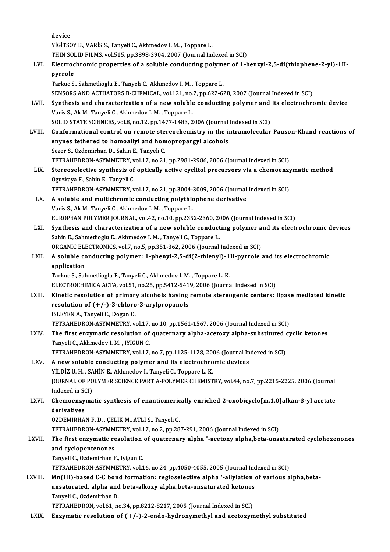|         | device                                                                                                                                                                                         |
|---------|------------------------------------------------------------------------------------------------------------------------------------------------------------------------------------------------|
|         | YİGİTSOY B., VARİS S., Tanyeli C., Akhmedov I. M., Toppare L.                                                                                                                                  |
|         | THIN SOLID FILMS, vol.515, pp.3898-3904, 2007 (Journal Indexed in SCI)                                                                                                                         |
| LVI.    | Electrochromic properties of a soluble conducting polymer of 1-benzyl-2,5-di(thiophene-2-yl)-1H-                                                                                               |
|         | pyrrole                                                                                                                                                                                        |
|         | Tarkuc S., Sahmetlioglu E., Tanyeh C., Akhmedov I. M., Toppare L.                                                                                                                              |
| LVII.   | SENSORS AND ACTUATORS B-CHEMICAL, vol.121, no.2, pp.622-628, 2007 (Journal Indexed in SCI)<br>Synthesis and characterization of a new soluble conducting polymer and its electrochromic device |
|         | Varis S., Ak M., Tanyeli C., Akhmedov I. M., Toppare L.                                                                                                                                        |
|         | SOLID STATE SCIENCES, vol.8, no.12, pp.1477-1483, 2006 (Journal Indexed in SCI)                                                                                                                |
| LVIII.  | Conformational control on remote stereochemistry in the intramolecular Pauson-Khand reactions of                                                                                               |
|         | enynes tethered to homoallyl and homopropargyl alcohols                                                                                                                                        |
|         | Sezer S., Ozdemirhan D., Sahin E., Tanyeli C.                                                                                                                                                  |
|         | TETRAHEDRON-ASYMMETRY, vol.17, no.21, pp.2981-2986, 2006 (Journal Indexed in SCI)                                                                                                              |
| LIX.    | Stereoselective synthesis of optically active cyclitol precursors via a chemoenzymatic method                                                                                                  |
|         | Oguzkaya F., Sahin E., Tanyeli C.                                                                                                                                                              |
|         | TETRAHEDRON-ASYMMETRY, vol.17, no.21, pp.3004-3009, 2006 (Journal Indexed in SCI)                                                                                                              |
| LX.     | A soluble and multichromic conducting polythiophene derivative                                                                                                                                 |
|         | Varis S., Ak M., Tanyeli C., Akhmedov I. M., Toppare L.                                                                                                                                        |
|         | EUROPEAN POLYMER JOURNAL, vol.42, no.10, pp.2352-2360, 2006 (Journal Indexed in SCI)                                                                                                           |
| LXI.    | Synthesis and characterization of a new soluble conducting polymer and its electrochromic devices                                                                                              |
|         | Sahin E., Sahmetlioglu E., Akhmedov I. M., Tanyeli C., Toppare L.                                                                                                                              |
|         | ORGANIC ELECTRONICS, vol.7, no.5, pp.351-362, 2006 (Journal Indexed in SCI)                                                                                                                    |
| LXII.   | A soluble conducting polymer: 1-phenyl-2,5-di(2-thienyl)-1H-pyrrole and its electrochromic<br>application                                                                                      |
|         | Tarkuc S., Sahmetlioglu E., Tanyeli C., Akhmedov I. M., Toppare L. K.                                                                                                                          |
|         | ELECTROCHIMICA ACTA, vol.51, no.25, pp.5412-5419, 2006 (Journal Indexed in SCI)                                                                                                                |
| LXIII.  | Kinetic resolution of primary alcohols having remote stereogenic centers: lipase mediated kinetic                                                                                              |
|         | resolution of $(+/-)$ -3-chloro-3-arylpropanols                                                                                                                                                |
|         | ISLEYEN A., Tanyeli C., Dogan O.                                                                                                                                                               |
|         | TETRAHEDRON-ASYMMETRY, vol.17, no.10, pp.1561-1567, 2006 (Journal Indexed in SCI)                                                                                                              |
| LXIV.   | The first enzymatic resolution of quaternary alpha-acetoxy alpha-substituted cyclic ketones                                                                                                    |
|         | Tanyeli C., Akhmedov I. M., İYİGÜN C.                                                                                                                                                          |
|         | TETRAHEDRON-ASYMMETRY, vol.17, no.7, pp.1125-1128, 2006 (Journal Indexed in SCI)                                                                                                               |
| LXV.    | A new soluble conducting polymer and its electrochromic devices                                                                                                                                |
|         | YİLDİZ U.H., SAHİN E., Akhmedov I., Tanyeli C., Toppare L.K.                                                                                                                                   |
|         | JOURNAL OF POLYMER SCIENCE PART A-POLYMER CHEMISTRY, vol.44, no.7, pp.2215-2225, 2006 (Journal<br>Indexed in SCI)                                                                              |
| LXVI.   | Chemoenzymatic synthesis of enantiomerically enriched 2-oxobicyclo[m.1.0]alkan-3-yl acetate                                                                                                    |
|         | derivatives                                                                                                                                                                                    |
|         | ÖZDEMİRHAN F. D., ÇELİK M., ATLI S., Tanyeli C.                                                                                                                                                |
|         | TETRAHEDRON-ASYMMETRY, vol.17, no.2, pp.287-291, 2006 (Journal Indexed in SCI)                                                                                                                 |
| LXVII.  | The first enzymatic resolution of quaternary alpha '-acetoxy alpha, beta-unsaturated cyclohexenones                                                                                            |
|         | and cyclopentenones                                                                                                                                                                            |
|         | Tanyeli C., Ozdemirhan F., Iyigun C.                                                                                                                                                           |
|         | TETRAHEDRON-ASYMMETRY, vol.16, no.24, pp.4050-4055, 2005 (Journal Indexed in SCI)                                                                                                              |
| LXVIII. | Mn(III)-based C-C bond formation: regioselective alpha '-allylation of various alpha, beta-                                                                                                    |
|         | unsaturated, alpha and beta-alkoxy alpha, beta-unsaturated ketones                                                                                                                             |
|         | Tanyeli C., Ozdemirhan D.                                                                                                                                                                      |
|         | TETRAHEDRON, vol.61, no.34, pp.8212-8217, 2005 (Journal Indexed in SCI)                                                                                                                        |
| LXIX.   | Enzymatic resolution of $(+/-)$ -2-endo-hydroxymethyl and acetoxymethyl substituted                                                                                                            |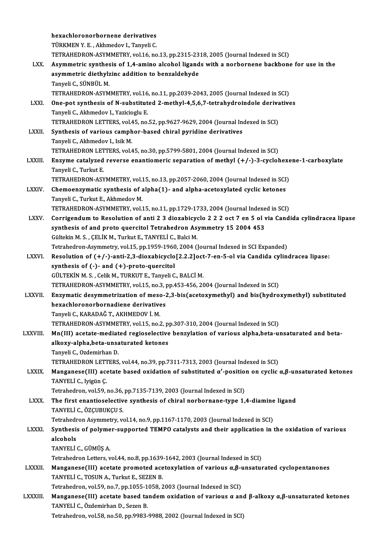|               | hexachloronorbornene derivatives                                                                                           |
|---------------|----------------------------------------------------------------------------------------------------------------------------|
|               | TÜRKMEN Y.E., Akhmedov I., Tanyeli C.                                                                                      |
|               | TETRAHEDRON-ASYMMETRY, vol.16, no.13, pp.2315-2318, 2005 (Journal Indexed in SCI)                                          |
| LXX.          | Asymmetric synthesis of 1,4-amino alcohol ligands with a norbornene backbone for use in the                                |
|               | asymmetric diethylzinc addition to benzaldehyde                                                                            |
|               | Tanyeli C., SÜNBÜL M.                                                                                                      |
|               | TETRAHEDRON-ASYMMETRY, vol.16, no.11, pp.2039-2043, 2005 (Journal Indexed in SCI)                                          |
| LXXI.         | One-pot synthesis of N-substituted 2-methyl-4,5,6,7-tetrahydroindole derivatives                                           |
|               | Tanyeli C., Akhmedov I., Yazicioglu E.                                                                                     |
|               | TETRAHEDRON LETTERS, vol.45, no.52, pp.9627-9629, 2004 (Journal Indexed in SCI)                                            |
| <b>LXXII</b>  | Synthesis of various camphor-based chiral pyridine derivatives                                                             |
|               | Tanyeli C., Akhmedov I., Isik M.                                                                                           |
|               | TETRAHEDRON LETTERS, vol.45, no.30, pp.5799-5801, 2004 (Journal Indexed in SCI)                                            |
| <b>LXXIII</b> | Enzyme catalyzed reverse enantiomeric separation of methyl $(+/-)$ -3-cyclohexene-1-carboxylate                            |
|               | Tanyeli C., Turkut E.                                                                                                      |
|               | TETRAHEDRON-ASYMMETRY, vol.15, no.13, pp.2057-2060, 2004 (Journal Indexed in SCI)                                          |
| <b>LXXIV</b>  | Chemoenzymatic synthesis of alpha(1)- and alpha-acetoxylated cyclic ketones                                                |
|               | Tanyeli C., Turkut E., Akhmedov M.                                                                                         |
|               | TETRAHEDRON-ASYMMETRY, vol.15, no.11, pp.1729-1733, 2004 (Journal Indexed in SCI)                                          |
| <b>LXXV</b>   | Corrigendum to Resolution of anti 2 3 dioxabicyclo 2 2 2 oct 7 en 5 ol via Candida cylindracea lipase                      |
|               | synthesis of and proto quercitol Tetrahedron Asymmetry 15 2004 453                                                         |
|               | Gültekin M. S., ÇELİK M., Turkut E., TANYELİ C., Balci M.                                                                  |
|               | Tetrahedron-Asymmetry, vol.15, pp.1959-1960, 2004 (Journal Indexed in SCI Expanded)                                        |
| <b>LXXVI</b>  | Resolution of (+/-)-anti-2,3-dioxabicyclo[2.2.2]oct-7-en-5-ol via Candida cylindracea lipase:                              |
|               | synthesis of $(-)$ - and $(+)$ -proto-quercitol                                                                            |
|               | GÜLTEKİN M. S., Celik M., TURKUT E., Tanyeli C., BALCİ M.                                                                  |
|               | TETRAHEDRON-ASYMMETRY, vol.15, no.3, pp.453-456, 2004 (Journal Indexed in SCI)                                             |
| <b>LXXVII</b> | Enzymatic desymmetrization of meso-2,3-bis(acetoxymethyl) and bis(hydroxymethyl) substituted                               |
|               | hexachloronorbornadiene derivatives                                                                                        |
|               | Tanyeli C., KARADAĞ T., AKHMEDOV İ. M.                                                                                     |
|               | TETRAHEDRON-ASYMMETRY, vol.15, no.2, pp.307-310, 2004 (Journal Indexed in SCI)                                             |
| LXXVIII.      | Mn(III) acetate-mediated regioselective benzylation of various alpha, beta-unsaturated and beta-                           |
|               | alkoxy-alpha, beta-unsaturated ketones                                                                                     |
|               | Tanyeli C., Ozdemirhan D.                                                                                                  |
|               | TETRAHEDRON LETTERS, vol.44, no.39, pp.7311-7313, 2003 (Journal Indexed in SCI)                                            |
| <b>LXXIX</b>  | Manganese(III) acetate based oxidation of substituted $\alpha'$ -position on cyclic $\alpha, \beta$ -unsaturated ketones   |
|               | TANYELİ C, Iyigün Ç                                                                                                        |
|               | Tetrahedron, vol.59, no.36, pp.7135-7139, 2003 (Journal Indexed in SCI)                                                    |
| <b>LXXX</b>   | The first enantioselective synthesis of chiral norbornane-type 1,4-diamine ligand                                          |
|               | TANYELİ C., ÖZÇUBUKÇU S.                                                                                                   |
|               | Tetrahedron Asymmetry, vol.14, no.9, pp.1167-1170, 2003 (Journal Indexed in SCI)                                           |
| <b>LXXXI</b>  | Synthesis of polymer-supported TEMPO catalysts and their application in the oxidation of various                           |
|               | alcohols                                                                                                                   |
|               | TANYELİ C., GÜMÜŞ A                                                                                                        |
|               | Tetrahedron Letters, vol.44, no.8, pp.1639-1642, 2003 (Journal Indexed in SCI)                                             |
| LXXXII.       | Manganese(III) acetate promoted acetoxylation of various $\alpha$ , $\beta$ -unsaturated cyclopentanones                   |
|               | TANYELİ C., TOSUN A., Turkut E., SEZEN B.                                                                                  |
|               | Tetrahedron, vol.59, no.7, pp.1055-1058, 2003 (Journal Indexed in SCI)                                                     |
| LXXXIII.      | Manganese(III) acetate based tandem oxidation of various $\alpha$ and $\beta$ -alkoxy $\alpha, \beta$ -unsaturated ketones |
|               | TANYELİ C., Özdemirhan D., Sezen B.                                                                                        |
|               | Tetrahedron, vol.58, no.50, pp.9983-9988, 2002 (Journal Indexed in SCI)                                                    |
|               |                                                                                                                            |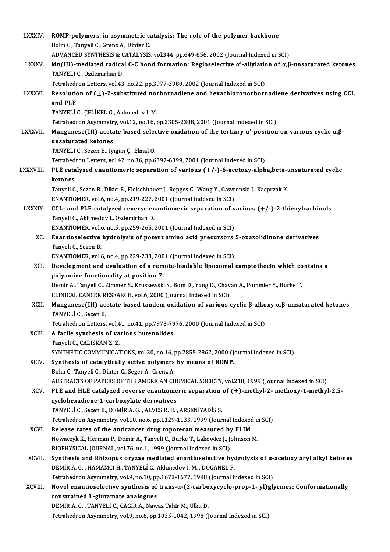| <b>LXXXIV.</b> | ROMP-polymers, in asymmetric catalysis: The role of the polymer backbone                                                                                                               |
|----------------|----------------------------------------------------------------------------------------------------------------------------------------------------------------------------------------|
|                | Bolm C., Tanyeli C., Grenz A., Dinter C.                                                                                                                                               |
|                | ADVANCED SYNTHESIS & CATALYSIS, vol.344, pp.649-656, 2002 (Journal Indexed in SCI)                                                                                                     |
| <b>LXXXV.</b>  | Mn(III)-mediated radical C-C bond formation: Regioselective $\alpha'$ -allylation of $\alpha, \beta$ -unsaturated ketones                                                              |
|                | TANYELİ C., Özdemirhan D.                                                                                                                                                              |
|                | Tetrahedron Letters, vol.43, no.22, pp.3977-3980, 2002 (Journal Indexed in SCI)                                                                                                        |
| <b>LXXXVI.</b> | Resolution of $(\pm)$ -2-substituted norbornadiene and hexachloronorbornadiene derivatives using CCL                                                                                   |
|                | and PLE                                                                                                                                                                                |
|                | TANYELİ C., ÇELİKEL G., Akhmedov I. M.                                                                                                                                                 |
|                | Tetrahedron Asymmetry, vol.12, no.16, pp.2305-2308, 2001 (Journal Indexed in SCI)                                                                                                      |
| <b>LXXXVII</b> | Manganese(III) acetate based selective oxidation of the tertiary $\alpha'$ -position on various cyclic $\alpha, \beta$ -<br>unsaturated ketones                                        |
|                | TANYELİ C., Sezen B., Iyigün Ç., Elmal O.                                                                                                                                              |
|                | Tetrahedron Letters, vol.42, no.36, pp.6397-6399, 2001 (Journal Indexed in SCI)                                                                                                        |
| LXXXVIII.      | PLE catalysed enantiomeric separation of various (+/-)-6-acetoxy-alpha, beta-unsaturated cyclic                                                                                        |
|                | ketones                                                                                                                                                                                |
|                | Tanyeli C., Sezen B., Dikici E., Fleischhauer J., Repges C., Wang Y., Gawronski J., Kacprzak K.                                                                                        |
|                | ENANTIOMER, vol.6, no.4, pp.219-227, 2001 (Journal Indexed in SCI)                                                                                                                     |
| <b>LXXXIX.</b> | CCL- and PLE-catalyzed reverse enantiomeric separation of various $(+/-)$ -2-thienylcarbinols                                                                                          |
|                | Tanyeli C., Akhmedov I., Ozdemirhan D.                                                                                                                                                 |
|                | ENANTIOMER, vol.6, no.5, pp.259-265, 2001 (Journal Indexed in SCI)                                                                                                                     |
| XC.            | Enantioselective hydrolysis of potent amino acid precursors 5-oxazolidinone derivatives                                                                                                |
|                | Tanyeli C., Sezen B.                                                                                                                                                                   |
|                | ENANTIOMER, vol.6, no.4, pp.229-233, 2001 (Journal Indexed in SCI)                                                                                                                     |
| XCI.           | Development and evaluation of a remote-loadable liposomal camptothecin which contains a                                                                                                |
|                | polyamine functionality at position 7.                                                                                                                                                 |
|                | Demir A., Tanyeli C., Zimmer S., Kruszewski S., Bom D., Yang D., Chavan A., Pommier Y., Burke T.                                                                                       |
| XCII.          | CLINICAL CANCER RESEARCH, vol.6, 2000 (Journal Indexed in SCI)<br>Manganese(III) acetate based tandem oxidation of various cyclic $\beta$ -alkoxy $\alpha, \beta$ -unsaturated ketones |
|                | TANYELİ C, Sezen B                                                                                                                                                                     |
|                | Tetrahedron Letters, vol.41, no.41, pp.7973-7976, 2000 (Journal Indexed in SCI)                                                                                                        |
| XCIII.         | A facile synthesis of various butenolides                                                                                                                                              |
|                | Tanyeli C., CALİSKAN Z.Z.                                                                                                                                                              |
|                | SYNTHETIC COMMUNICATIONS, vol.30, no.16, pp.2855-2862, 2000 (Journal Indexed in SCI)                                                                                                   |
| XCIV.          | Synthesis of catalytically active polymers by means of ROMP.                                                                                                                           |
|                | Bolm C., Tanyeli C., Dinter C., Seger A., Grenz A.                                                                                                                                     |
|                | ABSTRACTS OF PAPERS OF THE AMERICAN CHEMICAL SOCIETY, vol.218, 1999 (Journal Indexed in SCI)                                                                                           |
| XCV.           | PLE and HLE catalyzed reverse enantiomeric separation of $(\pm)$ -methyl-2- methoxy-1-methyl-2,5-                                                                                      |
|                | cyclohexadiene-1-carboxylate derivatives                                                                                                                                               |
|                | TANYELİ C., Sezen B., DEMİR A. G., ALVES R. B., ARSENİYADİS S.                                                                                                                         |
|                | Tetrahedron Asymmetry, vol.10, no.6, pp.1129-1133, 1999 (Journal Indexed in SCI)                                                                                                       |
| XCVI.          | Release rates of the anticancer drug topotecan measured by FLIM                                                                                                                        |
|                | Nowaczyk K., Herman P., Demir A., Tanyeli C., Burke T., Lakowicz J., Johnson M.<br>BIOPHYSICAL JOURNAL, vol.76, no.1, 1999 (Journal Indexed in SCI)                                    |
| XCVII.         | Synthesis and Rhizopus oryzae mediated enantioselective hydrolysis of $\alpha$ -acetoxy aryl alkyl ketones                                                                             |
|                | DEMİR A. G., HAMAMCI H., TANYELİ C., Akhmedov I. M., DOGANEL F.                                                                                                                        |
|                | Tetrahedron Asymmetry, vol.9, no.10, pp.1673-1677, 1998 (Journal Indexed in SCI)                                                                                                       |
| XCVIII.        | Novel enantioselective synthesis of trans-a-(2-carboxycyclo-prop-1-yl)glycines: Conformationally                                                                                       |
|                | constrained L-glutamate analogues                                                                                                                                                      |
|                | DEMİR A. G., TANYELİ C., CAGİR A., Nawaz Tahir M., Ulku D.                                                                                                                             |
|                | Tetrahedron Asymmetry, vol.9, no.6, pp.1035-1042, 1998 (Journal Indexed in SCI)                                                                                                        |
|                |                                                                                                                                                                                        |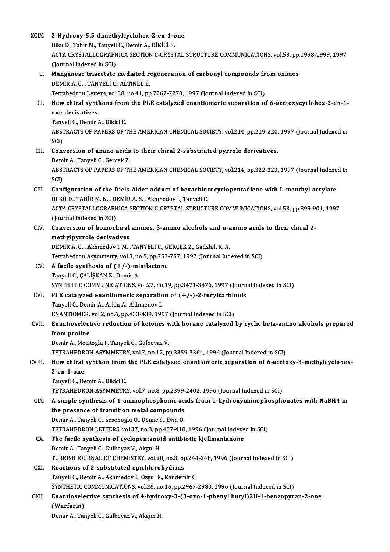| <b>XCIX</b> | 2-Hydroxy-5,5-dimethylcyclohex-2-en-1-one                                                             |
|-------------|-------------------------------------------------------------------------------------------------------|
|             | Ulku D., Tahir M., Tanyeli C., Demir A., DİKİCİ E.                                                    |
|             | ACTA CRYSTALLOGRAPHICA SECTION C-CRYSTAL STRUCTURE COMMUNICATIONS, vol.53, pp.1998-1999, 1997         |
|             | (Journal Indexed in SCI)                                                                              |
| C.          | Manganese triacetate mediated regeneration of carbonyl compounds from oximes                          |
|             | DEMIR A. G., TANYELİ C., ALTİNEL E.                                                                   |
|             | Tetrahedron Letters, vol.38, no.41, pp.7267-7270, 1997 (Journal Indexed in SCI)                       |
| CI.         | New chiral synthons from the PLE catalyzed enantiomeric separation of 6-acetoxycyclohex-2-en-1-       |
|             | one derivatives.                                                                                      |
|             | Tanyeli C., Demir A., Dikici E.                                                                       |
|             | ABSTRACTS OF PAPERS OF THE AMERICAN CHEMICAL SOCIETY, vol.214, pp.219-220, 1997 (Journal Indexed in   |
|             | SCI)                                                                                                  |
| CII.        | Conversion of amino acids to their chiral 2-substituted pyrrole derivatives.                          |
|             | Demir A., Tanyeli C., Gercek Z.                                                                       |
|             | ABSTRACTS OF PAPERS OF THE AMERICAN CHEMICAL SOCIETY, vol.214, pp.322-323, 1997 (Journal Indexed in   |
|             | SCI)                                                                                                  |
| CIII.       | Configuration of the Diels-Alder adduct of hexachlorocyclopentadiene with L-menthyl acrylate          |
|             | ÜLKÜ D., TAHİR M. N., DEMİR A. S., Akhmedov I., Tanyeli C.                                            |
|             | ACTA CRYSTALLOGRAPHICA SECTION C-CRYSTAL STRUCTURE COMMUNICATIONS, vol.53, pp.899-901, 1997           |
|             | (Journal Indexed in SCI)                                                                              |
| CIV.        | Conversion of homochiral amines, $\beta$ -amino alcohols and $\alpha$ -amino acids to their chiral 2- |
|             | methylpyrrole derivatives                                                                             |
|             | DEMİR A. G., Akhmedov I. M., TANYELİ C., GERÇEK Z., Gadzhili R. A.                                    |
|             | Tetrahedron Asymmetry, vol.8, no.5, pp.753-757, 1997 (Journal Indexed in SCI)                         |
| CV.         | A facile synthesis of $(+/-)$ -mintlactone<br>Tanyeli C., ÇALİŞKAN Z., Demir A.                       |
|             | SYNTHETIC COMMUNICATIONS, vol 27, no.19, pp.3471-3476, 1997 (Journal Indexed in SCI)                  |
| CVI.        | PLE catalyzed enantiomeric separation of $(+/-)$ -2-furylcarbinols                                    |
|             | Tanveli C., Demir A., Arkin A., Akhmedov I.                                                           |
|             | ENANTIOMER, vol.2, no.6, pp.433-439, 1997 (Journal Indexed in SCI)                                    |
| CVII.       | Enantioselective reduction of ketones with borane catalyzed by cyclic beta-amino alcohols prepared    |
|             | from proline                                                                                          |
|             | Demir A., Mecitoglu I., Tanyeli C., Gulbeyaz V.                                                       |
|             | TETRAHEDRON-ASYMMETRY, vol.7, no.12, pp.3359-3364, 1996 (Journal Indexed in SCI)                      |
| CVIII.      | New chiral synthon from the PLE catalyzed enantiomeric separation of 6-acetoxy-3-methylcyclohex-      |
|             | $2$ -en-1-one                                                                                         |
|             | Tanyeli C., Demir A., Dikici E.                                                                       |
|             | TETRAHEDRON-ASYMMETRY, vol.7, no.8, pp.2399-2402, 1996 (Journal Indexed in SCI)                       |
| CIX.        | A simple synthesis of 1-aminophosphonic acids from 1-hydroxyiminophosphonates with NaBH4 in           |
|             | the presence of transition metal compounds                                                            |
|             | Demir A., Tanyeli C., Sesenoglu O., Demic S., Evin O.                                                 |
|             | TETRAHEDRON LETTERS, vol.37, no.3, pp.407-410, 1996 (Journal Indexed in SCI)                          |
| CX.         | The facile synthesis of cyclopentanoid antibiotic kjellmanianone                                      |
|             | Demir A., Tanyeli C., Gulbeyaz V., Akgul H.                                                           |
|             | TURKISH JOURNAL OF CHEMISTRY, vol.20, no.3, pp.244-248, 1996 (Journal Indexed in SCI)                 |
| CXI.        | Reactions of 2-substituted epichlorohydrins                                                           |
|             | Tanyeli C., Demir A., Akhmedov I., Ozgul E., Kandemir C.                                              |
|             | SYNTHETIC COMMUNICATIONS, vol.26, no.16, pp.2967-2980, 1996 (Journal Indexed in SCI)                  |
| CXII.       | Enantioselective synthesis of 4-hydroxy-3-(3-oxo-1-phenyl butyl)2H-1-benzopyran-2-one                 |
|             | (Warfarin)                                                                                            |
|             | Demir A., Tanyeli C., Gulbeyaz V., Akgun H.                                                           |
|             |                                                                                                       |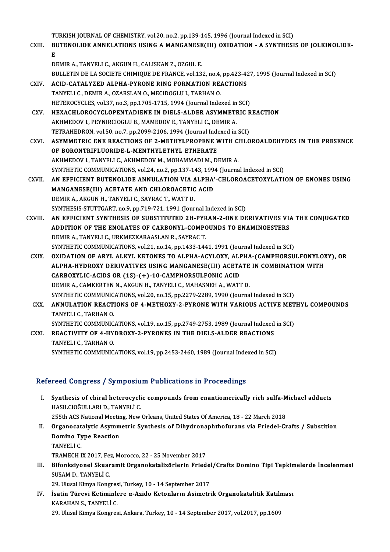TURKISH JOURNAL OF CHEMISTRY, vol.20, no.2, pp.139-145, 1996 (Journal Indexed in SCI)<br>PUTENOLIDE ANNELATIONS USING A MANGANESE(III) OVIDATION – A SYNTHESI

|              | TURKISH JOURNAL OF CHEMISTRY, vol.20, no.2, pp.139-145, 1996 (Journal Indexed in SCI)               |
|--------------|-----------------------------------------------------------------------------------------------------|
| CXIII.       | BUTENOLIDE ANNELATIONS USING A MANGANESE(III) OXIDATION - A SYNTHESIS OF JOLKINOLIDE-               |
|              | Е                                                                                                   |
|              | DEMIR A., TANYELI C., AKGUN H., CALISKAN Z., OZGUL E.                                               |
|              | BULLETIN DE LA SOCIETE CHIMIQUE DE FRANCE, vol.132, no.4, pp.423-427, 1995 (Journal Indexed in SCI) |
| <b>CXIV</b>  | <b>ACID-CATALYZED ALPHA-PYRONE RING FORMATION REACTIONS</b>                                         |
|              | TANYELI C., DEMIR A., OZARSLAN O., MECIDOGLU I., TARHAN O.                                          |
|              | HETEROCYCLES, vol.37, no.3, pp.1705-1715, 1994 (Journal Indexed in SCI)                             |
| CXV .        | HEXACHLOROCYCLOPENTADIENE IN DIELS-ALDER ASYMMETRIC REACTION                                        |
|              | AKHMEDOV I., PEYNIRCIOGLU B., MAMEDOV E., TANYELI C., DEMIR A.                                      |
|              | TETRAHEDRON, vol.50, no.7, pp.2099-2106, 1994 (Journal Indexed in SCI)                              |
| CXVI.        | ASYMMETRIC ENE REACTIONS OF 2-METHYLPROPENE WITH CHLOROALDEHYDES IN THE PRESENCE                    |
|              | OF BORONTRIFLUORIDE-L-MENTHYLETHYL ETHERATE                                                         |
|              | AKHMEDOV I., TANYELI C., AKHMEDOV M., MOHAMMADI M., DEMIR A.                                        |
|              | SYNTHETIC COMMUNICATIONS, vol.24, no.2, pp.137-143, 1994 (Journal Indexed in SCI)                   |
| <b>CXVII</b> | AN EFFICIENT BUTENOLIDE ANNULATION VIA ALPHA'-CHLOROACETOXYLATION OF ENONES USING                   |
|              | MANGANESE(III) ACETATE AND CHLOROACETIC ACID                                                        |
|              | DEMIR A., AKGUN H., TANYELI C., SAYRAC T., WATT D.                                                  |
|              | SYNTHESIS-STUTTGART, no.9, pp.719-721, 1991 (Journal Indexed in SCI)                                |
| CXVIII.      | AN EFFICIENT SYNTHESIS OF SUBSTITUTED 2H-PYRAN-2-ONE DERIVATIVES VIA THE CONJUGATED                 |
|              | ADDITION OF THE ENOLATES OF CARBONYL-COMPOUNDS TO ENAMINOESTERS                                     |
|              | DEMIR A., TANYELI C., URKMEZKARAASLAN R., SAYRAC T.                                                 |
|              | SYNTHETIC COMMUNICATIONS, vol.21, no.14, pp.1433-1441, 1991 (Journal Indexed in SCI)                |
| <b>CXIX</b>  | OXIDATION OF ARYL ALKYL KETONES TO ALPHA-ACYLOXY, ALPHA-(CAMPHORSULFONYLOXY), OR                    |
|              | ALPHA-HYDROXY DERIVATIVES USING MANGANESE(III) ACETATE IN COMBINATION WITH                          |
|              | CARBOXYLIC-ACIDS OR (1S)-(+)-10-CAMPHORSULFONIC ACID                                                |
|              | DEMIR A., CAMKERTEN N., AKGUN H., TANYELI C., MAHASNEH A., WATT D.                                  |
|              | SYNTHETIC COMMUNICATIONS, vol.20, no.15, pp.2279-2289, 1990 (Journal Indexed in SCI)                |
| CXX.         | ANNULATION REACTIONS OF 4-METHOXY-2-PYRONE WITH VARIOUS ACTIVE METHYL COMPOUNDS                     |
|              | TANYELI C , TARHAN O                                                                                |
|              | SYNTHETIC COMMUNICATIONS, vol.19, no.15, pp.2749-2753, 1989 (Journal Indexed in SCI)                |
| CXXI.        | REACTIVITY OF 4-HYDROXY-2-PYRONES IN THE DIELS-ALDER REACTIONS                                      |
|              | TANYELI C , TARHAN O                                                                                |
|              | SYNTHETIC COMMUNICATIONS, vol.19, pp.2453-2460, 1989 (Journal Indexed in SCI)                       |
|              |                                                                                                     |

## Refereed Congress / Symposium Publications in Proceedings

- efereed Congress / Symposium Publications in Proceedings<br>I. Synthesis of chiral heterocyclic compounds from enantiomerically rich sulfa-Michael adducts<br>HASH CIOČIH LABLD, TANVELLC Synthesis of chiral heterocycli<br>HASILCIOĞULLARI D., TANYELİ C.<br>255th ACS National Meeting New Synthesis of chiral heterocyclic compounds from enantiomerically rich sulfa-M<br>HASILCIOĞULLARI D., TANYELİ C.<br>255th ACS National Meeting, New Orleans, United States Of America, 18 - 22 March 2018<br>Organosatelytis Asymmetris HASILCIOĞULLARI D., TANYELİ C.<br>255th ACS National Meeting, New Orleans, United States Of America, 18 - 22 March 2018<br>II. Organocatalytic Asymmetric Synthesis of Dihydronaphthofurans via Friedel-Crafts / Substition<br>Domi
- 255th ACS National Meetir<br>Organocatalytic Asymm<br>Domino Type Reaction<br>TANVELLC Organocat<br>Domino Ty<br>TANYELİ C.<br>TRAMECH I Domino Type Reaction<br>TANYELİ C.<br>TRAMECH IX 2017, Fez, Morocco, 22 - 25 November 2017
- TANYELİ C.<br>IRAMECH IX 2017, Fez, Morocco, 22 25 November 2017<br>III. Bifonksiyonel Skuaramit Organokatalizörlerin Friedel/Crafts Domino Tipi Tepkimelerde İncelenmesi<br>SUSAM D. TANYELİ C SUSAM D., TANYELİ C.<br>29. Ulusal Kimya Kongresi, Turkey, 10 - 14 September 2017 Bifonksiyonel Skuaramit Organokatalizörlerin Friedel<br>SUSAM D., TANYELİ C.<br>29. Ulusal Kimya Kongresi, Turkey, 10 - 14 September 2017<br>İsatin Türevi Ketiminlere g. Azide Katanların Asimetri

SUSAM D., TANYELİ C.<br>29. Ulusal Kimya Kongresi, Turkey, 10 - 14 September 2017<br>IV. İsatin Türevi Ketiminlere α-Azido Ketonların Asimetrik Organokatalitik Katılması<br>KARAHAN S. TANVELİ C KARAHAN S., TANYELİ C.<br>29. Ulusal Kimya Kongresi, Ankara, Turkey, 10 - 14 September 2017, vol.2017, pp.1609 İsatin Türevi Ketiminlere α-Azido Ketonların Asimetrik Organokatalitik Katılı<br>KARAHAN S., TANYELİ C.<br>29. Ulusal Kimya Kongresi, Ankara, Turkey, 10 - 14 September 2017, vol.2017, pp.1609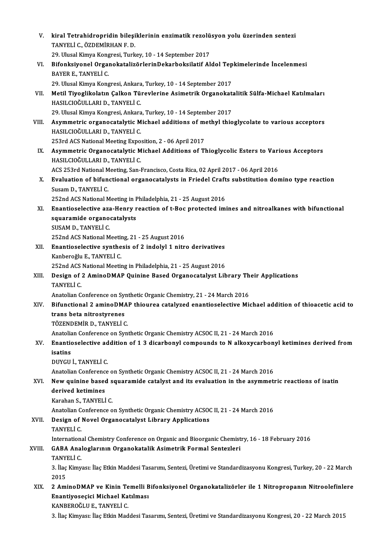| V.      | kiral Tetrahidropridin bileşiklerinin enzimatik rezolüsyon yolu üzerinden sentezi                                                                                              |
|---------|--------------------------------------------------------------------------------------------------------------------------------------------------------------------------------|
|         | TANYELİ C., ÖZDEMİRHAN F. D.                                                                                                                                                   |
|         | 29. Ulusal Kimya Kongresi, Turkey, 10 - 14 September 2017                                                                                                                      |
| VI.     | Bifonksiyonel OrganokatalizörlerinDekarboksilatif Aldol Tepkimelerinde İncelenmesi                                                                                             |
|         | BAYER E., TANYELİ C.                                                                                                                                                           |
|         | 29. Ulusal Kimya Kongresi, Ankara, Turkey, 10 - 14 September 2017                                                                                                              |
| VII.    | Metil Tiyoglikolatın Çalkon Türevlerine Asimetrik Organokatalitik Sülfa-Michael Katılmaları                                                                                    |
|         | HASILCIOĞULLARI D., TANYELİ C.                                                                                                                                                 |
|         | 29. Ulusal Kimya Kongresi, Ankara, Turkey, 10 - 14 September 2017                                                                                                              |
| VIII.   | Asymmetric organocatalytic Michael additions of methyl thioglycolate to various acceptors                                                                                      |
|         | HASILCIOĞULLARI D., TANYELİ C.                                                                                                                                                 |
|         | 253rd ACS National Meeting Exposition, 2 - 06 April 2017                                                                                                                       |
| IX.     | Asymmetric Organocatalytic Michael Additions of Thioglycolic Esters to Various Acceptors<br>HASILCIOĞULLARI D., TANYELİ C.                                                     |
|         | ACS 253rd National Meeting, San-Francisco, Costa Rica, 02 April 2017 - 06 April 2016                                                                                           |
| $X_{-}$ | Evaluation of bifunctional organocatalysts in Friedel Crafts substitution domino type reaction                                                                                 |
|         | Susam D., TANYELİ C.                                                                                                                                                           |
|         | 252nd ACS National Meeting in Philadelphia, 21 - 25 August 2016                                                                                                                |
| XI.     | Enantioselective aza-Henry reaction of t-Boc protected imines and nitroalkanes with bifunctional                                                                               |
|         | squaramide organocatalysts                                                                                                                                                     |
|         | SUSAM D., TANYELİ C.                                                                                                                                                           |
|         | 252nd ACS National Meeting, 21 - 25 August 2016                                                                                                                                |
| XII.    | Enantioselective synthesis of 2 indolyl 1 nitro derivatives                                                                                                                    |
|         | Kanberoğlu E., TANYELİ C.                                                                                                                                                      |
|         | 252nd ACS National Meeting in Philadelphia, 21 - 25 August 2016                                                                                                                |
| XIII.   | Design of 2 AminoDMAP Quinine Based Organocatalyst Library Their Applications                                                                                                  |
|         | TANYELİ C                                                                                                                                                                      |
| XIV.    | Anatolian Conference on Synthetic Organic Chemistry, 21 - 24 March 2016<br>Bifunctional 2 aminoDMAP thiourea catalyzed enantioselective Michael addition of thioacetic acid to |
|         | trans beta nitrostyrenes                                                                                                                                                       |
|         | TÖZENDEMİR D., TANYELİ C.                                                                                                                                                      |
|         | Anatolian Conference on Synthetic Organic Chemistry ACSOC II, 21 - 24 March 2016                                                                                               |
| XV.     | Enantioselective addition of 1 3 dicarbonyl compounds to N alkoxycarbonyl ketimines derived from                                                                               |
|         | isatins                                                                                                                                                                        |
|         | DUYGU I., TANYELI C.                                                                                                                                                           |
|         | Anatolian Conference on Synthetic Organic Chemistry ACSOC II, 21 - 24 March 2016                                                                                               |
| XVI.    | New quinine based squaramide catalyst and its evaluation in the asymmetric reactions of isatin                                                                                 |
|         | derived ketimines                                                                                                                                                              |
|         | Karahan S., TANYELİ C.                                                                                                                                                         |
|         | Anatolian Conference on Synthetic Organic Chemistry ACSOC II, 21 - 24 March 2016                                                                                               |
| XVII.   | Design of Novel Organocatalyst Library Applications<br>TANYELİ C                                                                                                               |
|         | International Chemistry Conference on Organic and Bioorganic Chemistry, 16 - 18 February 2016                                                                                  |
| XVIII.  | GABA Analoglarının Organokatalik Asimetrik Formal Sentezleri                                                                                                                   |
|         | TANYELİ C                                                                                                                                                                      |
|         | 3. İlaç Kimyası: İlaç Etkin Maddesi Tasarımı, Sentezi, Üretimi ve Standardizasyonu Kongresi, Turkey, 20 - 22 March                                                             |
|         | 2015                                                                                                                                                                           |
| XIX.    | 2 AminoDMAP ve Kinin Temelli Bifonksiyonel Organokatalizörler ile 1 Nitropropanın Nitroolefinlere                                                                              |
|         | Enantiyoseçici Michael Katılması                                                                                                                                               |
|         | KANBEROĞLU E., TANYELİ C.                                                                                                                                                      |
|         | 3. İlaç Kimyası: İlaç Etkin Maddesi Tasarımı, Sentezi, Üretimi ve Standardizasyonu Kongresi, 20 - 22 March 2015                                                                |
|         |                                                                                                                                                                                |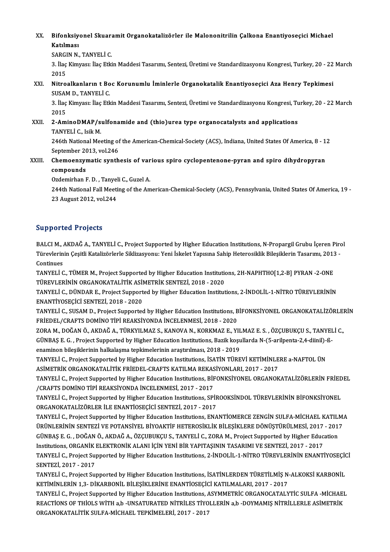XX. Bifonksiyonel Skuaramit Organokatalizörler ile Malononitrilin Çalkona Enantiyoseçici Michael<br>Katılması **Bifonksiy**<br>Katılması<br>SARCIN N Bifonksiyonel Skuara<br>Katılması<br>SARGIN N., TANYELİ C.<br>2. İlas Yimuasu İlas Etki

Katılması<br>SARGIN N., TANYELİ C.<br>3. İlaç Kimyası: İlaç Etkin Maddesi Tasarımı, Sentezi, Üretimi ve Standardizasyonu Kongresi, Turkey, 20 - 22 March<br>2015 SARGI<br>3. İlaç<br>2015<br>Nitre 3. İlaç Kimyası: İlaç Etkin Maddesi Tasarımı, Sentezi, Üretimi ve Standardizasyonu Kongresi, Turkey, 20 - 22<br>2015<br>XXI. Nitroalkanların t Boc Korunumlu İminlerle Organokatalik Enantiyoseçici Aza Henry Tepkimesi<br>SUSAM D. TAN

2015<br>Nitroalkanların t Bo<br>SUSAM D., TANYELİ C.<br>2. İlas Kimyasu İlas Etk Nitroalkanların t Boc Korunumlu İminlerle Organokatalik Enantiyoseçici Aza Henry Tepkimesi<br>SUSAM D., TANYELİ C.<br>3. İlaç Kimyası: İlaç Etkin Maddesi Tasarımı, Sentezi, Üretimi ve Standardizasyonu Kongresi, Turkey, 20 - 22 M

SUSAM D., TANYELİ C.<br>3. İlaç Kimyası: İlaç Etkin Maddesi Tasarımı, Sentezi, Üretimi ve Standardizasyonu Kongresi, Turkey, 20 - 22 March<br>2015

XXII. 2-AminoDMAP/sulfonamide and (thio)urea type organocatalysts and applications TANYELİC., IsikM. 2-AminoDMAP/sulfonamide and (thio)urea type organocatalysts and applications<br>TANYELİ C., Isik M.<br>246th National Meeting of the American-Chemical-Society (ACS), Indiana, United States Of America, 8 - 12<br>Sentember 2012, Vel

TANYELİ C., Isik M.<br>246th National Meeting of<br>September 2013, vol.246<br>Chamaanzumatia sunth 246th National Meeting of the American-Chemical-Society (ACS), Indiana, United States Of America, 8 - 1<br>September 2013, vol.246<br>XXIII. Chemoenzymatic synthesis of various spiro cyclopentenone-pyran and spiro dihydropyran<br>c

September 20<br>Chemoenzyr<br>compounds<br>Ordemirben I Chemoenzymatic synthesis of var<br>compounds<br>Ozdemirhan F.D., Tanyeli C., Guzel A.<br>244th National Fall Meeting of the Am

Ozdemirhan F.D., Tanyeli C., Guzel A.

compounds<br>Ozdemirhan F. D. , Tanyeli C., Guzel A.<br>244th National Fall Meeting of the American-Chemical-Society (ACS), Pennsylvania, United States Of America, 19<br>23 August 2012, vol.244

## Supported Projects

BALCI M., AKDAĞ A., TANYELİ C., Project Supported by Higher Education Institutions, N-Propargil Grubu İçeren Pirol Dü per cod 'r rojools<br>BALCI M., AKDAĞ A., TANYELİ C., Project Supported by Higher Education Institutions, N-Propargil Grubu İçeren Pirc<br>Türevlerinin Çeşitli Katalizörlerle Siklizasyonu: Yeni İskelet Yapısına Sahip Heterosi BALCI M., *l*<br>Türevlerin<br>Continues<br>TANVELİ C Türevlerinin Çeşitli Katalizörlerle Siklizasyonu: Yeni İskelet Yapısına Sahip Heterosiklik Bileşiklerin Tasarımı, 2013<br>Continues<br>TANYELİ C., TÜMER M., Project Supported by Higher Education Institutions, 2H-NAPHTHO[1,2-B] P

Continues<br>TANYELİ C., TÜMER M., Project Supported by Higher Education Institution<br>TÜREVLERİNİN ORGANOKATALİTİK ASİMETRİK SENTEZİ, 2018 - 2020<br>TANYELİ G. DÜNDAR E. Projest Supported bu Higher Education Institut TANYELİ C., TÜMER M., Project Supported by Higher Education Institutions, 2H-NAPHTHO[1,2-B] PYRAN -2-ONE<br>TÜREVLERİNİN ORGANOKATALİTİK ASİMETRİK SENTEZİ, 2018 - 2020<br>TANYELİ C., DÜNDAR E., Project Supported by Higher Educat

TÜREVLERİNİN ORGANOKATALİTİK ASİMETRİK SENTEZİ, 2018 - 2020<br>TANYELİ C., DÜNDAR E., Project Supported by Higher Education Institutions, 2-İNDOLİL-1-NİTRO TÜREVLERİNİN<br>ENANTİYOSECİCİ SENTEZİ, 2018 - 2020 TANYELİ C., DÜNDAR E., Project Supported by Higher Education Institutions, 2-İNDOLİL-1-NİTRO TÜREVLERİNİN<br>ENANTİYOSEÇİCİ SENTEZİ, 2018 - 2020<br>TANYELİ C., SUSAM D., Project Supported by Higher Education Institutions, BİFONK

ENANTİYOSEÇİCİ SENTEZİ, 2018 - 2020<br>TANYELİ C., SUSAM D., Project Supported by Higher Education Institutions, B<br>FRİEDEL/CRAFTS DOMİNO TİPİ REAKSİYONDA İNCELENMESİ, 2018 - 2020<br>ZORA M. DOĞAN Ö. AKDAĞ A. TÜRKYU MAZ S. KANOVA TANYELİ C., SUSAM D., Project Supported by Higher Education Institutions, BİFONKSİYONEL ORGANOKATALİZÖRLEI<br>FRİEDEL/CRAFTS DOMİNO TİPİ REAKSİYONDA İNCELENMESİ, 2018 - 2020<br>ZORA M., DOĞAN Ö., AKDAĞ A., TÜRKYILMAZ S., KANOVA

FRİEDEL/CRAFTS DOMİNO TİPİ REAKSİYONDA İNCELENMESİ, 2018 - 2020<br>ZORA M., DOĞAN Ö., AKDAĞ A., TÜRKYILMAZ S., KANOVA N., KORKMAZ E., YILMAZ E. S. , ÖZÇUBUKÇU S., TANYEI<br>GÜNBAŞ E. G. , Project Supported by Higher Education In ZORA M., DOĞAN Ö., AKDAĞ A., TÜRKYILMAZ S., KANOVA N., KORKMAZ E., YIL<br>GÜNBAŞ E. G. , Project Supported by Higher Education Institutions, Bazik koşu<br>enaminon bileşiklerinin halkalaşma tepkimelerinin araştırılması, 2018 - 2 GÜNBAŞ E. G. , Project Supported by Higher Education Institutions, Bazik koşullarda N-(5-arilpenta-2,4-diinil)-ß-<br>enaminon bileşiklerinin halkalaşma tepkimelerinin araştırılması, 2018 - 2019<br>TANYELİ C., Project Supported b

enaminon bileşiklerinin halkalaşma tepkimelerinin araştırılması, 2018 - 2019<br>TANYELİ C., Project Supported by Higher Education Institutions, İSATİN TÜREVİ KETİMİNLE<br>ASİMETRİK ORGANOKATALİTİK FRİEDEL-CRAFTS KATILMA REKASİYO

TANYELİ C., Project Supported by Higher Education Institutions, BİFONKSİYONEL ORGANOKATALİZÖRLERİN FRİEDEL<br>/CRAFTS DOMİNO TİPİ REAKSİYONDA İNCELENMESİ, 2017 - 2017 ASİMETRİK ORGANOKATALİTİK FRİEDEL-CRAFTS KATILMA REKAS<br>TANYELİ C., Project Supported by Higher Education Institutions, BİF<br>/CRAFTS DOMİNO TİPİ REAKSİYONDA İNCELENMESİ, 2017 - 2017<br>TANYELİ G. Project Supported by Higher Edu TANYELİ C., Project Supported by Higher Education Institutions, BİFONKSİYONEL ORGANOKATALİZÖRLERİN FRİED<br>/CRAFTS DOMİNO TİPİ REAKSİYONDA İNCELENMESİ, 2017 - 2017<br>TANYELİ C., Project Supported by Higher Education Institutio

/CRAFTS DOMINO TIPI REAKSIYONDA İNCELENMESİ, 2017 - 2017<br>TANYELİ C., Project Supported by Higher Education Institutions, SPİF<br>ORGANOKATALİZÖRLER İLE ENANTİOSEÇİCİ SENTEZİ, 2017 - 2017<br>TANYELİ G. Project Supported by Higher TANYELİ C., Project Supported by Higher Education Institutions, SPİROOKSİNDOL TÜREVLERİNİN BİFONKSİYONEL<br>ORGANOKATALİZÖRLER İLE ENANTİOSEÇİCİ SENTEZİ, 2017 - 2017<br>TANYELİ C., Project Supported by Higher Education Instituti

ORGANOKATALİZÖRLER İLE ENANTİOSEÇİCİ SENTEZİ, 2017 - 2017<br>TANYELİ C., Project Supported by Higher Education Institutions, ENANTİOMERCE ZENGİN SULFA-MİCHAEL KATILM.<br>ÜRÜNLERİNİN SENTEZİ VE POTANSİYEL BİYOAKTİF HETEROSİKLİK B TANYELİ C., Project Supported by Higher Education Institutions, ENANTİOMERCE ZENGİN SULFA-MİCHAEL KATILI<br>ÜRÜNLERİNİN SENTEZİ VE POTANSİYEL BİYOAKTİF HETEROSİKLİK BİLEŞİKLERE DÖNÜŞTÜRÜLMESİ, 2017 - 2011<br>GÜNBAŞ E. G. , DOĞAN ÜRÜNLERİNİN SENTEZİ VE POTANSİYEL BİYOAKTİF HETEROSİKLİK BİLEŞİKLERE DÖNÜŞTÜRÜLMESİ, 2017<br>GÜNBAŞ E. G. , DOĞAN Ö., AKDAĞ A., ÖZÇUBUKÇU S., TANYELİ C., ZORA M., Project Supported by Higher Educ<br>Institutions, ORGANİK ELEKTRO GÜNBAŞ E. G. , DOĞAN Ö., AKDAĞ A., ÖZÇUBUKÇU S., TANYELİ C., ZORA M., Project Supported by Higher Education<br>Institutions, ORGANİK ELEKTRONİK ALANI İÇİN YENİ BİR YAPITAŞININ TASARIMI VE SENTEZİ, 2017 - 2017<br>TANYELİ C., Proj Institutions, ORGANİK<br>TANYELİ C., Project Suj<br>SENTEZİ, 2017 - 2017<br>TANYELİ C. Project Suj TANYELİ C., Project Supported by Higher Education Institutions, 2-İNDOLİL-1-NİTRO TÜREVLERİNİN ENANTİYOSEÇİO<br>SENTEZİ, 2017 - 2017<br>TANYELİ C., Project Supported by Higher Education Institutions, İSATİNLERDEN TÜRETİLMİŞ N-AL

SENTEZİ, 2017 - 2017<br>TANYELİ C., Project Supported by Higher Education Institutions, İSATİNLERDEN TÜRETİLMİŞ N-ALKOKSİ KARBONİL<br>KETİMİNLERİN 1,3- DİKARBONİL BİLEŞİKLERİNE ENANTİOSEÇİCİ KATILMALARI, 2017 - 2017 TANYELİ C., Project Supported by Higher Education Institutions, İSATİNLERDEN TÜRETİLMİŞ N-ALKOKSİ KARBONİL<br>KETİMİNLERİN 1,3- DİKARBONİL BİLEŞİKLERİNE ENANTİOSEÇİCİ KATILMALARI, 2017 - 2017<br>TANYELİ C., Project Supported by

KETİMİNLERİN 1,3- DİKARBONİL BİLEŞİKLERİNE ENANTİOSEÇİCİ KATILMALARI, 2017 - 2017<br>TANYELİ C., Project Supported by Higher Education Institutions, ASYMMETRİC ORGANOCATALYTİC SULFA -MİCHAEI<br>REACTİONS OF THİOLS WİTH a,b -UNSA TANYELİ C., Project Supported by Higher Education Institutions, A<br>REACTIONS OF THIOLS WİTH a,b -UNSATURATED NİTRİLES TİYO<br>ORGANOKATALİTİK SULFA-MİCHAEL TEPKİMELERİ, 2017 - 2017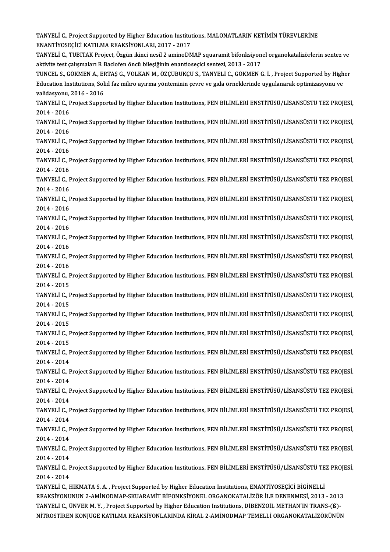TANYELİ C., Project Supported by Higher Education Institutions, MALONATLARIN KETİMİN TÜREVLERİNE<br>ENANTİVOSECİCİ KATILMA REAKSİVONLARL 2017, 2017 TANYELİ C., Project Supported by Higher Education Institut<br>ENANTİYOSEÇİCİ KATILMA REAKSİYONLARI, 2017 - 2017<br>TANYELİ G. TURITAK Project, Özgün ilingi nesil 3 amine PA TANYELİ C., Project Supported by Higher Education Institutions, MALONATLARIN KETİMİN TÜREVLERİNE<br>ENANTİYOSEÇİCİ KATILMA REAKSİYONLARI, 2017 - 2017<br>TANYELİ C., TUBITAK Project, Özgün ikinci nesil 2 aminoDMAP squaramit bifon ENANTİYOSEÇİCİ KATILMA REAKSİYONLARI, 2017 - 2017<br>TANYELİ C., TUBITAK Project, Özgün ikinci nesil 2 aminoDMAP squaramit bifonksiyonel organokatalizörlerin sentez ve<br>aktivite test çalışmaları R Baclofen öncü bileşiğinin ena TANYELİ C., TUBITAK Project, Özgün ikinci nesil 2 aminoDMAP squaramit bifonksiyonel organokatalizörlerin sentez ve<br>aktivite test çalışmaları R Baclofen öncü bileşiğinin enantioseçici sentezi, 2013 - 2017<br>TUNCEL S., GÖKMEN aktivite test çalışmaları R Baclofen öncü bileşiğinin enantioseçici sentezi, 2013 - 2017<br>TUNCEL S., GÖKMEN A., ERTAŞ G., VOLKAN M., ÖZÇUBUKÇU S., TANYELİ C., GÖKMEN G. İ. , Project Supported by High<br>Education Institutions, TUNCEL S., GÖKMEN A., EF<br>Education Institutions, Sol<br>validasyonu, 2016 - 2016<br>TANVELLC, Project Sunne Education Institutions, Solid faz mikro ayırma yönteminin çevre ve gıda örneklerinde uygulanarak optimizasyonu ve<br>validasyonu, 2016 - 2016<br>TANYELİ C., Project Supported by Higher Education Institutions, FEN BİLİMLERİ ENSTİ validasyonu,<br>TANYELİ C., F<br>2014 - 2016<br>TANYELİ C. E TANYELİ C., Project Supported by Higher Education Institutions, FEN BİLİMLERİ ENSTİTÜSÜ/LİSANSÜSTÜ TEZ PROJESİ,<br>2014 - 2016<br>TANYELİ C., Project Supported by Higher Education Institutions, FEN BİLİMLERİ ENSTİTÜSÜ/LİSANSÜSTÜ 2014 - 2016<br>TANYELİ C., F<br>2014 - 2016<br>TANYELİ C. F TANYELİ C., Project Supported by Higher Education Institutions, FEN BİLİMLERİ ENSTİTÜSÜ/LİSANSÜSTÜ TEZ PROJESİ,<br>2014 - 2016<br>TANYELİ C., Project Supported by Higher Education Institutions, FEN BİLİMLERİ ENSTİTÜSÜ/LİSANSÜSTÜ 2014 - 2016<br>TANYELİ C., Project Supported by Higher Education Institutions, FEN BİLİMLERİ ENSTİTÜSÜ/LİSANSÜSTÜ TEZ PROJESİ,<br>2014 - 2016 TANYELİ C., Project Supported by Higher Education Institutions, FEN BİLİMLERİ ENSTİTÜSÜ/LİSANSÜSTÜ TEZ PROJESİ,<br>2014 - 2016<br>TANYELİ C., Project Supported by Higher Education Institutions, FEN BİLİMLERİ ENSTİTÜSÜ/LİSANSÜSTÜ 2014 - 2016<br>TANYELİ C., F<br>2014 - 2016<br>TANYELİ C. T TANYELİ C., Project Supported by Higher Education Institutions, FEN BİLİMLERİ ENSTİTÜSÜ/LİSANSÜSTÜ TEZ PROJESİ,<br>2014 - 2016<br>TANYELİ C., Project Supported by Higher Education Institutions, FEN BİLİMLERİ ENSTİTÜSÜ/LİSANSÜSTÜ 2014 - 2016<br>TANYELİ C., F<br>2014 - 2016<br>TANYELİ C. T TANYELİ C., Project Supported by Higher Education Institutions, FEN BİLİMLERİ ENSTİTÜSÜ/LİSANSÜSTÜ TEZ PROJESİ,<br>2014 - 2016<br>TANYELİ C., Project Supported by Higher Education Institutions, FEN BİLİMLERİ ENSTİTÜSÜ/LİSANSÜSTÜ 2014 - 2016<br>TANYELİ C., Project Supported by Higher Education Institutions, FEN BİLİMLERİ ENSTİTÜSÜ/LİSANSÜSTÜ TEZ PROJESİ,<br>2014 - 2016 TANYELİ C., Project Supported by Higher Education Institutions, FEN BİLİMLERİ ENSTİTÜSÜ/LİSANSÜSTÜ TEZ PROJESİ,<br>2014 - 2016<br>TANYELİ C., Project Supported by Higher Education Institutions, FEN BİLİMLERİ ENSTİTÜSÜ/LİSANSÜSTÜ 2014 - 2016<br>TANYELİ C., F<br>2014 - 2016<br>TANYELİ C. E TANYELİ C., Project Supported by Higher Education Institutions, FEN BİLİMLERİ ENSTİTÜSÜ/LİSANSÜSTÜ TEZ PROJESİ,<br>2014 - 2016<br>TANYELİ C., Project Supported by Higher Education Institutions, FEN BİLİMLERİ ENSTİTÜSÜ/LİSANSÜSTÜ 2014 - 2016<br>TANYELI C., F<br>2014 - 2016<br>TANYELI C. E TANYELİ C., Project Supported by Higher Education Institutions, FEN BİLİMLERİ ENSTİTÜSÜ/LİSANSÜSTÜ TEZ PROJESİ,<br>2014 - 2016<br>TANYELİ C., Project Supported by Higher Education Institutions, FEN BİLİMLERİ ENSTİTÜSÜ/LİSANSÜSTÜ 2014 - 2016<br>TANYELİ C., F<br>2014 - 2016<br>TANYELİ C. E TANYELİ C., Project Supported by Higher Education Institutions, FEN BİLİMLERİ ENSTİTÜSÜ/LİSANSÜSTÜ TEZ PROJESİ,<br>2014 - 2016<br>TANYELİ C., Project Supported by Higher Education Institutions, FEN BİLİMLERİ ENSTİTÜSÜ/LİSANSÜSTÜ 2014 - 2016<br>TANYELİ C., Project Supported by Higher Education Institutions, FEN BİLİMLERİ ENSTİTÜSÜ/LİSANSÜSTÜ TEZ PROJESİ,<br>2014 - 2015 TANYELİ C., Project Supported by Higher Education Institutions, FEN BİLİMLERİ ENSTİTÜSÜ/LİSANSÜSTÜ TEZ PROJESİ,<br>2014 - 2015<br>TANYELİ C., Project Supported by Higher Education Institutions, FEN BİLİMLERİ ENSTİTÜSÜ/LİSANSÜSTÜ 2014 - 2015<br>TANYELİ C., F<br>2014 - 2015<br>TANYELİ C. F TANYELİ C., Project Supported by Higher Education Institutions, FEN BİLİMLERİ ENSTİTÜSÜ/LİSANSÜSTÜ TEZ PROJESİ,<br>2014 - 2015<br>TANYELİ C., Project Supported by Higher Education Institutions, FEN BİLİMLERİ ENSTİTÜSÜ/LİSANSÜSTÜ 2014 - 2015<br>TANYELİ C., F<br>2014 - 2015<br>TANYELİ C. T TANYELİ C., Project Supported by Higher Education Institutions, FEN BİLİMLERİ ENSTİTÜSÜ/LİSANSÜSTÜ TEZ PROJESİ,<br>2014 - 2015<br>TANYELİ C., Project Supported by Higher Education Institutions, FEN BİLİMLERİ ENSTİTÜSÜ/LİSANSÜSTÜ 2014 - 2015<br>TANYELİ C., F<br>2014 - 2015<br>TANYELİ C. T TANYELİ C., Project Supported by Higher Education Institutions, FEN BİLİMLERİ ENSTİTÜSÜ/LİSANSÜSTÜ TEZ PROJESİ,<br>2014 - 2015<br>TANYELİ C., Project Supported by Higher Education Institutions, FEN BİLİMLERİ ENSTİTÜSÜ/LİSANSÜSTÜ 2014 - 2015<br>TANYELİ C., F<br>2014 - 2014<br>TANYELİ C. T TANYELİ C., Project Supported by Higher Education Institutions, FEN BİLİMLERİ ENSTİTÜSÜ/LİSANSÜSTÜ TEZ PROJESİ,<br>2014 - 2014<br>TANYELİ C., Project Supported by Higher Education Institutions, FEN BİLİMLERİ ENSTİTÜSÜ/LİSANSÜSTÜ 2014 - 2014<br>TANYELİ C., Project Supported by Higher Education Institutions, FEN BİLİMLERİ ENSTİTÜSÜ/LİSANSÜSTÜ TEZ PROJESİ,<br>2014 - 2014 TANYELİ C., Project Supported by Higher Education Institutions, FEN BİLİMLERİ ENSTİTÜSÜ/LİSANSÜSTÜ TEZ PROJESİ,<br>2014 - 2014<br>TANYELİ C., Project Supported by Higher Education Institutions, FEN BİLİMLERİ ENSTİTÜSÜ/LİSANSÜSTÜ 2014 - 2014<br>TANYELİ C., F<br>2014 - 2014<br>TANYELİ C. E TANYELİ C., Project Supported by Higher Education Institutions, FEN BİLİMLERİ ENSTİTÜSÜ/LİSANSÜSTÜ TEZ PROJESİ,<br>2014 - 2014<br>TANYELİ C., Project Supported by Higher Education Institutions, FEN BİLİMLERİ ENSTİTÜSÜ/LİSANSÜSTÜ 2014 - 2014<br>TANYELİ C., Project Supported by Higher Education Institutions, FEN BİLİMLERİ ENSTİTÜSÜ/LİSANSÜSTÜ TEZ PROJESİ,<br>2014 - 2014 TANYELİ C., Project Supported by Higher Education Institutions, FEN BİLİMLERİ ENSTİTÜSÜ/LİSANSÜSTÜ TEZ PROJESİ,<br>2014 - 2014<br>TANYELİ C., Project Supported by Higher Education Institutions, FEN BİLİMLERİ ENSTİTÜSÜ/LİSANSÜSTÜ 2014 - 2014<br>TANYELİ C., F<br>2014 - 2014<br>TANYELİ C. F TANYELİ C., Project Supported by Higher Education Institutions, FEN BİLİMLERİ ENSTİTÜSÜ/LİSANSÜSTÜ TEZ PROJESİ,<br>2014 - 2014<br>TANYELİ C., Project Supported by Higher Education Institutions, FEN BİLİMLERİ ENSTİTÜSÜ/LİSANSÜSTÜ 2014 - 2014<br>TANYELİ C., Project Supported by Higher Education Institutions, FEN BİLİMLERİ ENSTİTÜSÜ/LİSANSÜSTÜ TEZ PROJESİ,<br>2014 - 2014 TANYELİ C., Project Supported by Higher Education Institutions, FEN BİLİMLERİ ENSTİTÜSÜ/LİSANSÜSTÜ TEZ PROJESİ,<br>2014 - 2014<br>TANYELİ C., Project Supported by Higher Education Institutions, FEN BİLİMLERİ ENSTİTÜSÜ/LİSANSÜSTÜ 2014 - 2014<br>TANYELİ C., F<br>2014 - 2014<br>TANYELİ C. L TANYELİ C., Project Supported by Higher Education Institutions, FEN BİLİMLERİ ENSTİTÜSÜ/LİSANSÜSTÜ TE:<br>2014 - 2014<br>TANYELİ C., HIKMATA S. A. , Project Supported by Higher Education Institutions, ENANTİYOSEÇİCİ BİGİNELLİ<br>RE 2014 - 2014<br>TANYELİ C., HIKMATA S. A. , Project Supported by Higher Education Institutions, ENANTİYOSEÇİCİ BİGİNELLİ<br>REAKSİYONUNUN 2-AMİNODMAP-SKUARAMİT BİFONKSİYONEL ORGANOKATALİZÖR İLE DENENMESİ, 2013 - 2013<br>TANYELİ G. Ü TANYELİ C., HIKMATA S. A. , Project Supported by Higher Education Institutions, ENANTİYOSEÇİCİ BİGİNELLİ<br>REAKSİYONUNUN 2-AMİNODMAP-SKUARAMİT BİFONKSİYONEL ORGANOKATALİZÖR İLE DENENMESİ, 2013 - 2013<br>TANYELİ C., ÜNVER M. Y. REAKSİYONUNUN 2-AMİNODMAP-SKUARAMİT BİFONKSİYONEL ORGANOKATALİZÖR İLE DENENMESİ, 2013 - 2013<br>TANYELİ C., ÜNVER M. Y. , Project Supported by Higher Education Institutions, DİBENZOİL METHAN'IN TRANS-(ß)-<br>NİTROSTİREN KONJUGE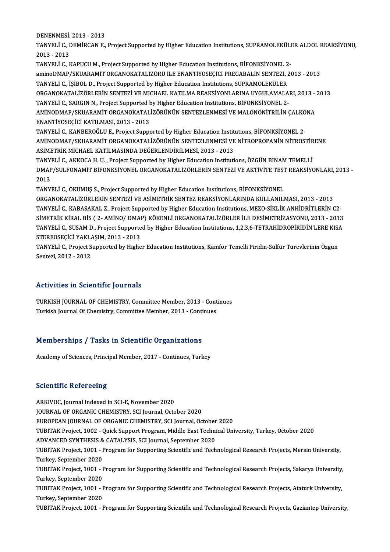DENENMESİ, 2013 - 2013<br>TANVELİ C. DEMİRCAN E

TANYELİ C., DEMİRCAN E., Project Supported by Higher Education Institutions, SUPRAMOLEKÜLER ALDOL REAKSİYONU,<br>2013 - 2013 DENENMESI,<br>TANYELI C., I<br>2013 - 2013<br>TANYELI C. L TANYELİ C., DEMİRCAN E., Project Supported by Higher Education Institutions, SUPRAMOLEKÜLI<br>2013 - 2013<br>TANYELİ C., KAPUCU M., Project Supported by Higher Education Institutions, BİFONKSİYONEL 2-<br>amineDMAR/SKUARAMİT ORGANOK 2013 - 2013<br>TANYELİ C., KAPUCU M., Project Supported by Higher Education Institutions, BİFONKSİYONEL 2-<br>aminoDMAP/SKUARAMİT ORGANOKATALİZÖRÜ İLE ENANTİYOSEÇİCİ PREGABALİN SENTEZİ, 2013 - 2013<br>TANYELİ G. İSİBOL D. Project S TANYELİ C., KAPUCU M., Project Supported by Higher Education Institutions, BİFONKSİYONEL 2<br>aminoDMAP/SKUARAMİT ORGANOKATALİZÖRÜ İLE ENANTİYOSEÇİCİ PREGABALİN SENTEZİ, 2<br>TANYELİ C., İŞİBOL D., Project Supported by Higher Ed aminoDMAP/SKUARAMİT ORGANOKATALİZÖRÜ İLE ENANTİYOSEÇİCİ PREGABALİN SENTEZİ, 2013 - 2013<br>TANYELİ C., İŞİBOL D., Project Supported by Higher Education Institutions, SUPRAMOLEKÜLER<br>ORGANOKATALİZÖRLERİN SENTEZİ VE MICHAEL KATI TANYELİ C., İŞİBOL D., Project Supported by Higher Education Institutions, SUPRAMOLEKÜLER<br>ORGANOKATALİZÖRLERİN SENTEZİ VE MICHAEL KATILMA REAKSİYONLARINA UYGULAMALARI, 2013 - 2013<br>TANYELİ C., SARGIN N., Project Supported b

ORGANOKATALİZÖRLERİN SENTEZİ VE MICHAEL KATILMA REAKSİYONLARINA UYGULAMALARI, 2013 -<br>TANYELİ C., SARGIN N., Project Supported by Higher Education Institutions, BİFONKSİYONEL 2-<br>AMİNODMAP/SKUARAMİT ORGANOKATALİZÖRÜNÜN SENTE TANYELİ C., SARGIN N., Project Supported <mark>:</mark><br>AMİNODMAP/SKUARAMİT ORGANOKATAL<br>ENANTİYOSEÇİCİ KATILMASI, 2013 - 2013<br>TANYELİ G. KANPEROČLU E. Project Suppe AMİNODMAP/SKUARAMİT ORGANOKATALİZÖRÜNÜN SENTEZLENMESİ VE MALONONİTRİLİN ÇALKO<br>ENANTİYOSEÇİCİ KATILMASI, 2013 - 2013<br>TANYELİ C., KANBEROĞLU E., Project Supported by Higher Education Institutions, BİFONKSİYONEL 2-<br>AMİNODMAR/

ENANTİYOSEÇİCİ KATILMASI, 2013 - 2013<br>TANYELİ C., KANBEROĞLU E., Project Supported by Higher Education Institutions, BİFONKSİYONEL 2-<br>AMİNODMAP/SKUARAMİT ORGANOKATALİZÖRÜNÜN SENTEZLENMESİ VE NİTROPROPANİN NİTROSTİRENE<br>ASİM TANYELİ C., KANBEROĞLU E., Project Supported by Higher Education Institutions, BİFONKSİYONEL 2-AMİNODMAP/SKUARAMİT ORGANOKATALİZÖRÜNÜN SENTEZLENMESİ VE NİTROPROPANİN NİTROSTİR<br>ASİMETRİK MİCHAEL KATILMASINDA DEĞERLENDİRİLMESİ, 2013 - 2013<br>TANYELİ C., AKKOCA H. U. , Project Supported by Higher Education Institutions,

ASİMETRİK MİCHAEL KATILMASINDA DEĞERLENDİRİLMESİ, 2013 - 2013<br>TANYELİ C., AKKOCA H. U. , Project Supported by Higher Education Institutions, ÖZGÜN BINAM TEMELLİ<br>DMAP/SULFONAMİT BİFONKSİYONEL ORGANOKATALİZÖRLERİN SENTEZİ VE TANY<br>DMAP<br>2013<br>TANY DMAP/SULFONAMİT BİFONKSİYONEL ORGANOKATALİZÖRLERİN SENTEZİ VE AKTİVİTE TEST<br>2013<br>TANYELİ C., OKUMUŞ S., Project Supported by Higher Education Institutions, BİFONKSİYONEL<br>ORCANOKATALİZÖRLERIN SENTEZİ VE ASİMETRIK SENTEZ REA

2013<br>TANYELİ C., OKUMUŞ S., Project Supported by Higher Education Institutions, BİFONKSİYONEL<br>ORGANOKATALİZÖRLERİN SENTEZİ VE ASİMETRİK SENTEZ REAKSİYONLARINDA KULLANILMASI, 2013 - 2013 TANYELİ C., KABASAKAL Z., Project Supported by Higher Education Institutions, MEZO-SİKLİK ANHİDRİTLERİN C2-ORGANOKATALİZÖRLERİN SENTEZİ VE ASİMETRİK SENTEZ REAKSİYONLARINDA KULLANILMASI, 2013 - 2013<br>TANYELİ C., KABASAKAL Z., Project Supported by Higher Education Institutions, MEZO-SİKLİK ANHİDRİTLERİN C2-<br>SİMETRİK KİRAL BİS ( 2 TANYELİ C., KABASAKAL Z., Project Supported by Higher Education Institutions, MEZO-SİKLİK ANHİDRİTLERİN C2-<br>SİMETRİK KİRAL BİS ( 2- AMİNO/ DMAP) KÖKENLİ ORGANOKATALİZÖRLER İLE DESİMETRİZASYONU, 2013 - 2013<br>TANYELİ C., SUSA SİMETRİK KİRAL BİS ( 2- AMİNO/ DMAI<br>TANYELİ C., SUSAM D., Project Supporte<br>STEREOSEÇİCİ YAKLAŞIM, 2013 - 2013<br>TANYELİ C. Project Supported bu Highe TANYELİ C., SUSAM D., Project Supported by Higher Education Institutions, 1,2,3,6-TETRAHİDROPİRİDİN'LERE KIS*l*<br>STEREOSEÇİCİ YAKLAŞIM, 2013 - 2013<br>TANYELİ C., Project Supported by Higher Education Institutions, Kamfor Teme

STEREOSEÇİCİ YAKL*ı*<br>TANYELİ C., Project S<br>Sentezi, 2012 - 2012 Sentezi, 2012 - 2012<br>Activities in Scientific Journals

TURKISH JOURNAL OF CHEMISTRY, Committee Member, 2013 - Continues Turkish Journal Of Chemistry, Committee Member, 2013 - Continues

# Turkish Journal Or Chemistry, Committee Member, 2013 - Conti<br>Memberships / Tasks in Scientific Organizations Memberships / Tasks in Scientific Organizations<br>Academy of Sciences, Principal Member, 2017 - Continues, Turkey

Academy of Sciences, Principal Member, 2017 - Continues, Turkey<br>Scientific Refereeing

ARKIVOC, Journal Indexed in SCI-E, November 2020 JOURNAL OF ORGANIC CHEMISTRY, SCI Journal, October 2020 EUROPEAN JOURNAL OF ORGANIC CHEMISTRY, SCI Journal, October 2020 TUBITAK Project, 1002 - Quick Support Program, Middle East Technical University, Turkey, October 2020 EUROPEAN JOURNAL OF ORGANIC CHEMISTRY, SCI Journal, October<br>TUBITAK Project, 1002 - Quick Support Program, Middle East Techni<br>ADVANCED SYNTHESIS & CATALYSIS, SCI Journal, September 2020<br>TUBITAK Project, 1001 - Program for TUBITAK Project, 1001 - Program for Supporting Scientific and Technological Research Projects, Mersin University,<br>Turkey, September 2020 ADVANCED SYNTHESIS &<br>TUBITAK Project, 1001 - I<br>Turkey, September 2020<br>TUBITA*V* Project, 1001 - I TUBITAK Project, 1001 - Program for Supporting Scientific and Technological Research Projects, Mersin University,<br>Turkey, September 2020<br>TUBITAK Project, 1001 - Program for Supporting Scientific and Technological Research Turkey, September 2020<br>TUBITAK Project, 1001 - I<br>Turkey, September 2020<br>TUBITAK Project, 1001 - I TUBITAK Project, 1001 - Program for Supporting Scientific and Technological Research Projects, Sakarya University,<br>Turkey, September 2020<br>TuBITAK Project, 1001 - Program for Supporting Scientific and Technological Research Turkey, September 2020<br>TUBITAK Project, 1001 - Program for Supporting Scientific and Technological Research Projects, Ataturk University,<br>Turkey, September 2020<br>TUBITAK Project, 1001 - Program for Supporting Scientific and TUBITAK Project, 1001 - Program for Supporting Scientific and Technological Research Projects, Ataturk University,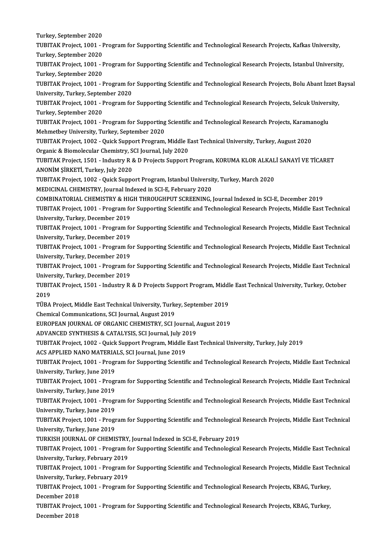Turkey, September 2020<br>Turkey, September 2020 TUBITAK Project, 1001 - Program for Supporting Scientific and Technological Research Projects, Kafkas University,<br>Turkey, September 2020 Turkey, September 2020<br>TUBITAK Project, 1001 - I<br>Turkey, September 2020<br>TUBITAK Project, 1001 - I TUBITAK Project, 1001 - Program for Supporting Scientific and Technological Research Projects, Kafkas University,<br>Turkey, September 2020<br>TuBITAK Project, 1001 - Program for Supporting Scientific and Technological Research Turkey, September 2020<br>TUBITAK Project, 1001 - I<br>Turkey, September 2020<br>TUBITAK Project, 1001 - I TUBITAK Project, 1001 - Program for Supporting Scientific and Technological Research Projects, Istanbul University,<br>Turkey, September 2020<br>TUBITAK Project, 1001 - Program for Supporting Scientific and Technological Researc Turkey, September 2020<br>TUBITAK Project, 1001 - Program fol<br>University, Turkey, September 2020<br>TUBITAK Project, 1001 - Program fol TUBITAK Project, 1001 - Program for Supporting Scientific and Technological Research Projects, Bolu Abant İzzet E<br>University, Turkey, September 2020<br>TUBITAK Project, 1001 - Program for Supporting Scientific and Technologic University, Turkey, September 2020<br>TUBITAK Project, 1001 - Program for Supporting Scientific and Technological Research Projects, Selcuk University,<br>Turkey, September 2020 TUBITAK Project, 1001 - Program for Supporting Scientific and Technological Research Projects, Selcuk Univers<br>Turkey, September 2020<br>TUBITAK Project, 1001 - Program for Supporting Scientific and Technological Research Proj Turkey, September 2020<br>TUBITAK Project, 1001 - Program for Supporting<br>Mehmetbey University, Turkey, September 2020<br>TUBITAK Project, 1002 - Quick Support Program TUBITAK Project, 1001 - Program for Supporting Scientific and Technological Research Projects, Karama<br>Mehmetbey University, Turkey, September 2020<br>TUBITAK Project, 1002 - Quick Support Program, Middle East Technical Univer Mehmetbey University, Turkey, September 2020<br>TUBITAK Project, 1002 - Quick Support Program, Middle East Technical University, Turkey, August 2020<br>Organic & Biomolecular Chemistry, SCI Journal, July 2020 TUBITAK Project, 1002 - Quick Support Program, Middle East Technical University, Turkey, August 2020<br>Organic & Biomolecular Chemistry, SCI Journal, July 2020<br>TUBITAK Project, 1501 - Industry R & D Projects Support Program, Organic & Biomolecular Chemistry, S<br>TUBITAK Project, 1501 - Industry R &<br>ANONİM ŞİRKETİ, Turkey, July 2020<br>TUBITAK Project, 1902 - Quick Suppe TUBITAK Project, 1501 - Industry R & D Projects Support Program, KORUMA KLOR ALKAL<br>ANONIM ŞİRKETİ, Turkey, July 2020<br>TUBITAK Project, 1002 - Quick Support Program, Istanbul University, Turkey, March 2020<br>MEDICINAL CUEMISTR ANONİM ŞİRKETİ, Turkey, July 2020<br>TUBITAK Project, 1002 - Quick Support Program, Istanbul University, Turkey, March 2020<br>MEDICINAL CHEMISTRY, Journal Indexed in SCI-E, February 2020 COMBINATORIAL CHEMISTRY & HIGH THROUGHPUT SCREENING, Journal Indexed in SCI-E, December 2019 MEDICINAL CHEMISTRY, Journal Indexed in SCI-E, February 2020<br>COMBINATORIAL CHEMISTRY & HIGH THROUGHPUT SCREENING, Journal Indexed in SCI-E, December 2019<br>TUBITAK Project, 1001 - Program for Supporting Scientific and Techno COMBINATORIAL CHEMISTRY & HIC<br>TUBITAK Project, 1001 - Program fo<br>University, Turkey, December 2019<br>TUBITAK Project, 1001 - Program fo TUBITAK Project, 1001 - Program for Supporting Scientific and Technological Research Projects, Middle East Technical<br>University, Turkey, December 2019<br>TUBITAK Project, 1001 - Program for Supporting Scientific and Technolog University, Turkey, December 2019<br>TUBITAK Project, 1001 - Program for Supporting Scientific and Technological Research Projects, Middle East Technical<br>University, Turkey, December 2019 TUBITAK Project, 1001 - Program for Supporting Scientific and Technological Research Projects, Middle East Technical<br>University, Turkey, December 2019<br>TUBITAK Project, 1001 - Program for Supporting Scientific and Technolog University, Turkey, December 2019<br>TUBITAK Project, 1001 - Program fo<br>University, Turkey, December 2019<br>TUBITAK Project, 1001 - Program fo TUBITAK Project, 1001 - Program for Supporting Scientific and Technological Research Projects, Middle East Technical<br>University, Turkey, December 2019<br>TUBITAK Project, 1001 - Program for Supporting Scientific and Technolog University, Turkey, December 2019<br>TUBITAK Project, 1001 - Program fo<br>University, Turkey, December 2019<br>TUBITAK Project, 1501 - Industry B TUBITAK Project, 1001 - Program for Supporting Scientific and Technological Research Projects, Middle East Technica<br>University, Turkey, December 2019<br>TUBITAK Project, 1501 - Industry R & D Projects Support Program, Middle University, Turkey, December 2019<br>TUBITAK Project, 1501 - Industry R & D Projects Support Program, Middle East Technical University, Turkey, October<br>2019 TUBITAK Project, 1501 - Industry R & D Projects Support Program, Middl<br>2019<br>TÜBA Project, Middle East Technical University, Turkey, September 2019<br>Chamisal Communisations, SCI Journal, August 2019 2019<br>TÜBA Project, Middle East Technical University, Turk<br>Chemical Communications, SCI Journal, August 2019<br>FUROPEAN JOURNAL OF ORGANIC CHEMISTRY, SCLL TÜBA Project, Middle East Technical University, Turkey, September 2019<br>Chemical Communications, SCI Journal, August 2019<br>EUROPEAN JOURNAL OF ORGANIC CHEMISTRY, SCI Journal, August 2019<br>ADVANCED SYNTHESIS & CATALYSIS, SCI J Chemical Communications, SCI Journal, August 2019<br>EUROPEAN JOURNAL OF ORGANIC CHEMISTRY, SCI Journal, *A*<br>ADVANCED SYNTHESIS & CATALYSIS, SCI Journal, July 2019<br>TURITAK Preject, 1002 - Quick Support Program, Middle Fest EUROPEAN JOURNAL OF ORGANIC CHEMISTRY, SCI Journal, August 2019<br>ADVANCED SYNTHESIS & CATALYSIS, SCI Journal, July 2019<br>TUBITAK Project, 1002 - Quick Support Program, Middle East Technical University, Turkey, July 2019 ADVANCED SYNTHESIS & CATALYSIS, SCI Journal, July 20<br>TUBITAK Project, 1002 - Quick Support Program, Middle<br>ACS APPLIED NANO MATERIALS, SCI Journal, June 2019<br>TUBITAK Project, 1001 - Program for Supporting Scientif TUBITAK Project, 1002 - Quick Support Program, Middle East Technical University, Turkey, July 2019<br>ACS APPLIED NANO MATERIALS, SCI Journal, June 2019<br>TUBITAK Project, 1001 - Program for Supporting Scientific and Technologi ACS APPLIED NANO MATERIALS, SCI Journal, June 2019<br>TUBITAK Project, 1001 - Program for Supporting Scienti<br>University, Turkey, June 2019 TUBITAK Project, 1001 - Program for Supporting Scientific and Technological Research Projects, Middle East Technical<br>University, Turkey, June 2019<br>TUBITAK Project, 1001 - Program for Supporting Scientific and Technological University, Turkey, June 2019<br>TUBITAK Project, 1001 - Progr<br>University, Turkey, June 2019<br>TUBITAK Project, 1001 - Progr TUBITAK Project, 1001 - Program for Supporting Scientific and Technological Research Projects, Middle East Technical<br>University, Turkey, June 2019<br>TUBITAK Project, 1001 - Program for Supporting Scientific and Technological University, Turkey, June 2019<br>TUBITAK Project, 1001 - Progr<br>University, Turkey, June 2019<br>TUBITAK Project, 1001 - Progr TUBITAK Project, 1001 - Program for Supporting Scientific and Technological Research Projects, Middle East Technical<br>University, Turkey, June 2019<br>TUBITAK Project, 1001 - Program for Supporting Scientific and Technological University, Turkey, June 2019<br>TUBITAK Project, 1001 - Progr<br>University, Turkey, June 2019<br>TUBKISH JOUBNAL OF CHEMIS TUBITAK Project, 1001 - Program for Supporting Scientific and Technological<br>University, Turkey, June 2019<br>TURKISH JOURNAL OF CHEMISTRY, Journal Indexed in SCI-E, February 2019<br>TURKISH JOURNAL OF CHEMISTRY, Journal Indexed University, Turkey, June 2019<br>TURKISH JOURNAL OF CHEMISTRY, Journal Indexed in SCI-E, February 2019<br>TUBITAK Project, 1001 - Program for Supporting Scientific and Technological Research Projects, Middle East Technical<br>Unive TURKISH JOURNAL OF CHEMISTRY,<br>TUBITAK Project, 1001 - Program f<br>University, Turkey, February 2019<br>TUBITAK Project, 1001 - Brogram f TUBITAK Project, 1001 - Program for Supporting Scientific and Technological Research Projects, Middle East Technical<br>University, Turkey, February 2019<br>TUBITAK Project, 1001 - Program for Supporting Scientific and Technolog University, Turkey, February 2019<br>TUBITAK Project, 1001 - Program f<br>University, Turkey, February 2019<br>TUBITAK Project, 1001 - Program f TUBITAK Project, 1001 - Program for Supporting Scientific and Technological Research Projects, Middle East Te<br>University, Turkey, February 2019<br>TUBITAK Project, 1001 - Program for Supporting Scientific and Technological Re University, Turke<br>TUBITAK Project<br>December 2018<br>TUBITAK Project TUBITAK Project, 1001 - Program for Supporting Scientific and Technological Research Projects, KBAG, Turkey,<br>December 2018<br>TUBITAK Project, 1001 - Program for Supporting Scientific and Technological Research Projects, KBAG December 2018<br>TUBITAK Project, 1001 - Program for Supporting Scientific and Technological Research Projects, KBAG, Turkey,<br>December 2018